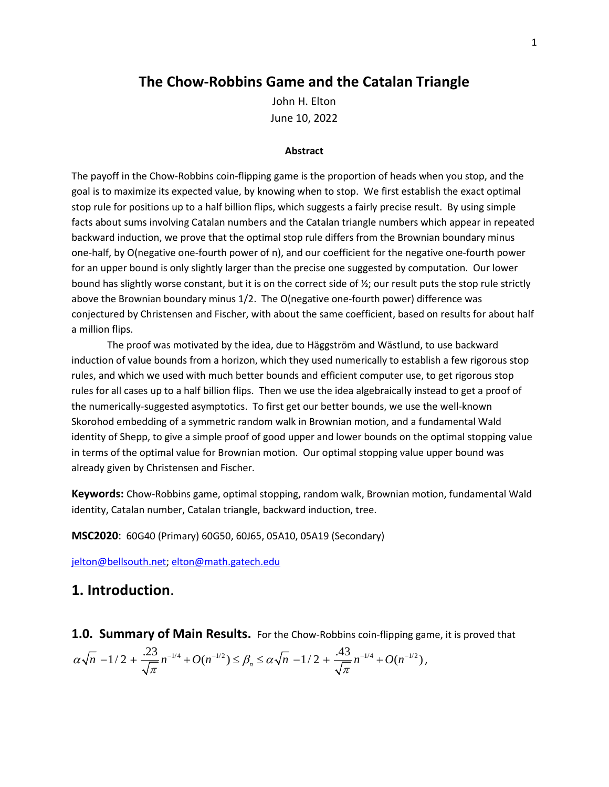## **The Chow-Robbins Game and the Catalan Triangle**

John H. Elton June 10, 2022

#### **Abstract**

The payoff in the Chow-Robbins coin-flipping game is the proportion of heads when you stop, and the goal is to maximize its expected value, by knowing when to stop. We first establish the exact optimal stop rule for positions up to a half billion flips, which suggests a fairly precise result. By using simple facts about sums involving Catalan numbers and the Catalan triangle numbers which appear in repeated backward induction, we prove that the optimal stop rule differs from the Brownian boundary minus one-half, by O(negative one-fourth power of n), and our coefficient for the negative one-fourth power for an upper bound is only slightly larger than the precise one suggested by computation. Our lower bound has slightly worse constant, but it is on the correct side of ½; our result puts the stop rule strictly above the Brownian boundary minus 1/2. The O(negative one-fourth power) difference was conjectured by Christensen and Fischer, with about the same coefficient, based on results for about half a million flips.

The proof was motivated by the idea, due to Häggström and Wästlund, to use backward induction of value bounds from a horizon, which they used numerically to establish a few rigorous stop rules, and which we used with much better bounds and efficient computer use, to get rigorous stop rules for all cases up to a half billion flips. Then we use the idea algebraically instead to get a proof of the numerically-suggested asymptotics. To first get our better bounds, we use the well-known Skorohod embedding of a symmetric random walk in Brownian motion, and a fundamental Wald identity of Shepp, to give a simple proof of good upper and lower bounds on the optimal stopping value in terms of the optimal value for Brownian motion. Our optimal stopping value upper bound was already given by Christensen and Fischer.

**Keywords:** Chow-Robbins game, optimal stopping, random walk, Brownian motion, fundamental Wald identity, Catalan number, Catalan triangle, backward induction, tree.

**MSC2020**: 60G40 (Primary) 60G50, 60J65, 05A10, 05A19 (Secondary)

[jelton@bellsouth.net;](mailto:jelton@bellsouth.net) [elton@math.gatech.edu](mailto:elton@math.gatech.edu)

# **1. Introduction**.

**1.0. Summary of Main Results.** For the Chow-Robbins coin-flipping game, it is proved that

$$
\alpha\sqrt{n} - 1/2 + \frac{.23}{\sqrt{\pi}}n^{-1/4} + O(n^{-1/2}) \leq \beta_n \leq \alpha\sqrt{n} - 1/2 + \frac{.43}{\sqrt{\pi}}n^{-1/4} + O(n^{-1/2}),
$$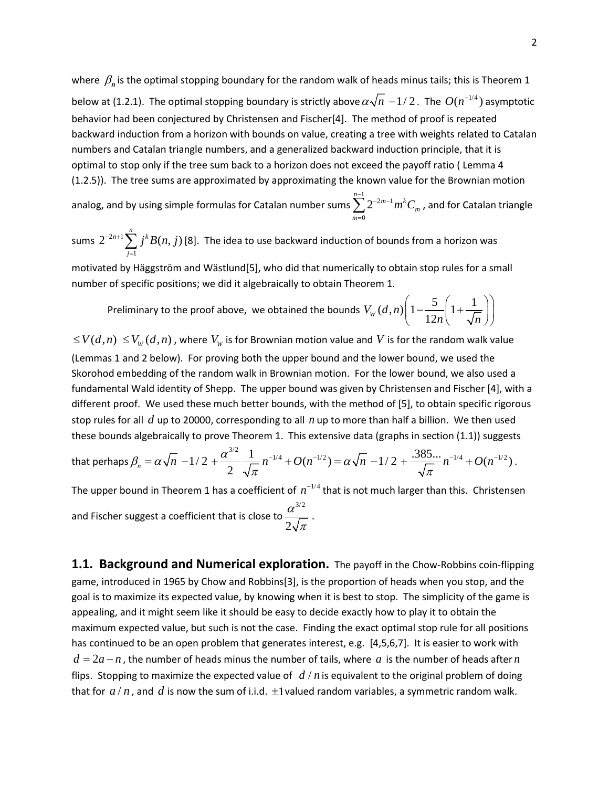where  $\beta_n$  is the optimal stopping boundary for the random walk of heads minus tails; this is Theorem 1 below at (1.2.1). The optimal stopping boundary is strictly above  $\alpha \sqrt{n} - 1/2$ . The  $O(n^{-1/4})$  asymptotic behavior had been conjectured by Christensen and Fischer[4]. The method of proof is repeated backward induction from a horizon with bounds on value, creating a tree with weights related to Catalan numbers and Catalan triangle numbers, and a generalized backward induction principle, that it is optimal to stop only if the tree sum back to a horizon does not exceed the payoff ratio ( Lemma 4 (1.2.5)). The tree sums are approximated by approximating the known value for the Brownian motion

analog, and by using simple formulas for Catalan number sums  $\sum_{n=1}^{1}$  $\mathbf{0}$  $\sum_{n=1}^{n-1} 2^{-2m-1} m^k$ *m m*  $\sum_{n=1}^{-1} 2^{-2m-1} m^k C$  $\sum_{m=0}^\infty 2^{-2m-1} m^k C_m$  , and for Catalan triangle

sums  $2^{-2n+1}$ 1  $2^{-2n+1}\sum_{j=1}^{n}j^{k}B(n,j)$ *j* <sup>-2n+1</sup>∑ *j<sup>k</sup>B*(*n*, *j*  $\sum_{j=1} j^k B(n,j)$  [8]. The idea to use backward induction of bounds from a horizon was

motivated by Häggström and Wästlund[5], who did that numerically to obtain stop rules for a small number of specific positions; we did it algebraically to obtain Theorem 1.

Preliminary to the proof above, we obtained the bounds  $V_{w}(d,n) \left(1 - \frac{5}{12n} \left(1 + \frac{1}{\sqrt{n}}\right)\right)$  $\left(1-\frac{5}{12n}\left(1+\frac{1}{\sqrt{n}}\right)\right)$ 

 $\leq V(d,n) \leq V_w(d,n)$ , where  $V_w$  is for Brownian motion value and *V* is for the random walk value (Lemmas 1 and 2 below). For proving both the upper bound and the lower bound, we used the Skorohod embedding of the random walk in Brownian motion. For the lower bound, we also used a fundamental Wald identity of Shepp. The upper bound was given by Christensen and Fischer [4], with a different proof. We used these much better bounds, with the method of [5], to obtain specific rigorous stop rules for all *d* up to 20000, corresponding to all *n* up to more than half a billion. We then used these bounds algebraically to prove Theorem 1. This extensive data (graphs in section (1.1)) suggests

that perhaps 
$$
\beta_n = \alpha \sqrt{n} - 1/2 + \frac{\alpha^{3/2}}{2} \frac{1}{\sqrt{\pi}} n^{-1/4} + O(n^{-1/2}) = \alpha \sqrt{n} - 1/2 + \frac{.385...}{\sqrt{\pi}} n^{-1/4} + O(n^{-1/2}).
$$

The upper bound in Theorem 1 has a coefficient of  $n^{-1/4}$  that is not much larger than this. Christensen and Fischer suggest a coefficient that is close to 3/2 2 α  $\frac{1}{\pi}$ .

**1.1. Background and Numerical exploration.** The payoff in the Chow-Robbins coin-flipping game, introduced in 1965 by Chow and Robbins[3], is the proportion of heads when you stop, and the goal is to maximize its expected value, by knowing when it is best to stop. The simplicity of the game is appealing, and it might seem like it should be easy to decide exactly how to play it to obtain the maximum expected value, but such is not the case. Finding the exact optimal stop rule for all positions has continued to be an open problem that generates interest, e.g. [4,5,6,7]. It is easier to work with  $d = 2a - n$ , the number of heads minus the number of tails, where a is the number of heads after *n* flips. Stopping to maximize the expected value of  $d/n$  is equivalent to the original problem of doing that for  $a/n$ , and d is now the sum of i.i.d.  $\pm 1$  valued random variables, a symmetric random walk.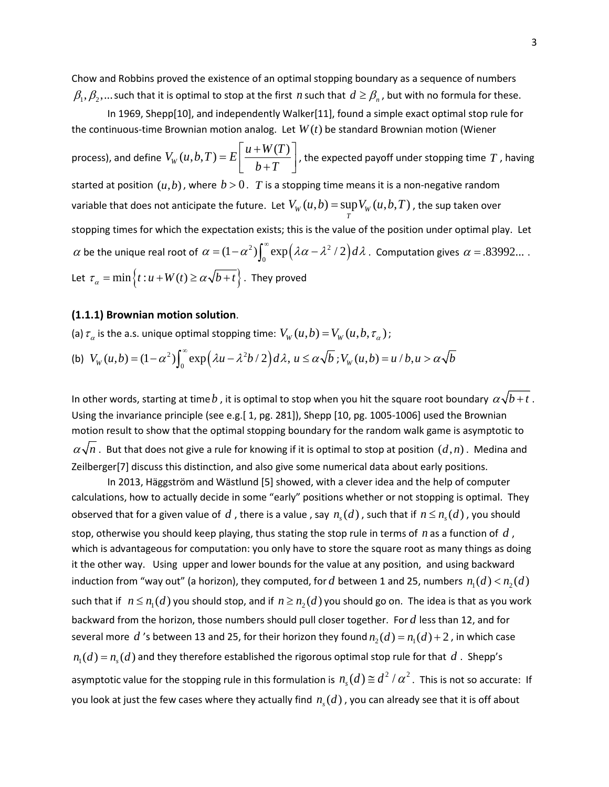Chow and Robbins proved the existence of an optimal stopping boundary as a sequence of numbers  $\beta_1, \beta_2, ...$  such that it is optimal to stop at the first *n* such that  $d \geq \beta_n$ , but with no formula for these.

In 1969, Shepp[10], and independently Walker[11], found a simple exact optimal stop rule for the continuous-time Brownian motion analog. Let  $W(t)$  be standard Brownian motion (Wiener

process), and define  $V_W(u, b, T) = E\left[ \frac{u + W(T)}{h + T} \right]$  $E\left[\frac{u+W(T)}{b+T}\right]$ , the expected payoff under stopping time *T* , having started at position  $(u,b)$ , where  $b > 0$ . T is a stopping time means it is a non-negative random variable that does not anticipate the future. Let  $V^{}_W(u,b)$  =  $\sup_T V^{}_W(u,b,T)$  $V_{W}(u,b) = \sup V_{W}(u,b,T)$ , the sup taken over stopping times for which the expectation exists; this is the value of the position under optimal play. Let  $\alpha$  be the unique real root of  $\alpha = (1 - \alpha^2) \int_0^\infty \exp(\lambda \alpha - \lambda^2 / 2) d\lambda$ . Computation gives  $\alpha = .83992...$ . Let  $\tau_{\alpha} = \min \{ t : u + W(t) \ge \alpha \sqrt{b+t} \}$ . They proved

#### **(1.1.1) Brownian motion solution**.

(a) 
$$
\tau_{\alpha}
$$
 is the a.s. unique optimal stopping time:  $V_W(u, b) = V_W(u, b, \tau_{\alpha})$ ;  
\n(b)  $V_W(u, b) = (1 - \alpha^2) \int_0^{\infty} \exp(\lambda u - \lambda^2 b / 2) d\lambda$ ,  $u \le \alpha \sqrt{b}$ ;  $V_W(u, b) = u / b$ ,  $u > \alpha \sqrt{b}$ 

In other words, starting at time b, it is optimal to stop when you hit the square root boundary  $\alpha \sqrt{b} + t$ . Using the invariance principle (see e.g.[ 1, pg. 281]), Shepp [10, pg. 1005-1006] used the Brownian motion result to show that the optimal stopping boundary for the random walk game is asymptotic to  $\alpha\sqrt{n}$  . But that does not give a rule for knowing if it is optimal to stop at position  $(d,n)$  . Medina and Zeilberger[7] discuss this distinction, and also give some numerical data about early positions.

In 2013, Häggström and Wästlund [5] showed, with a clever idea and the help of computer calculations, how to actually decide in some "early" positions whether or not stopping is optimal. They observed that for a given value of  $d$ , there is a value, say  $n_{s}( d )$ , such that if  $n \le n_{s}( d )$ , you should stop, otherwise you should keep playing, thus stating the stop rule in terms of *n* as a function of *d* , which is advantageous for computation: you only have to store the square root as many things as doing it the other way. Using upper and lower bounds for the value at any position, and using backward induction from "way out" (a horizon), they computed, for d between 1 and 25, numbers  $n_1(d) < n_2(d)$ such that if  $n \leq n_1(d)$  you should stop, and if  $n \geq n_2(d)$  you should go on. The idea is that as you work backward from the horizon, those numbers should pull closer together. For *d* less than 12, and for several more d 's between 13 and 25, for their horizon they found  $n_2(d) = n_1(d) + 2$ , in which case  $n_1(d) = n_c(d)$  and they therefore established the rigorous optimal stop rule for that  $d$ . Shepp's asymptotic value for the stopping rule in this formulation is  $n_s(d) \cong d^2 / \alpha^2$ . This is not so accurate: If you look at just the few cases where they actually find  $n_{s}( d )$  , you can already see that it is off about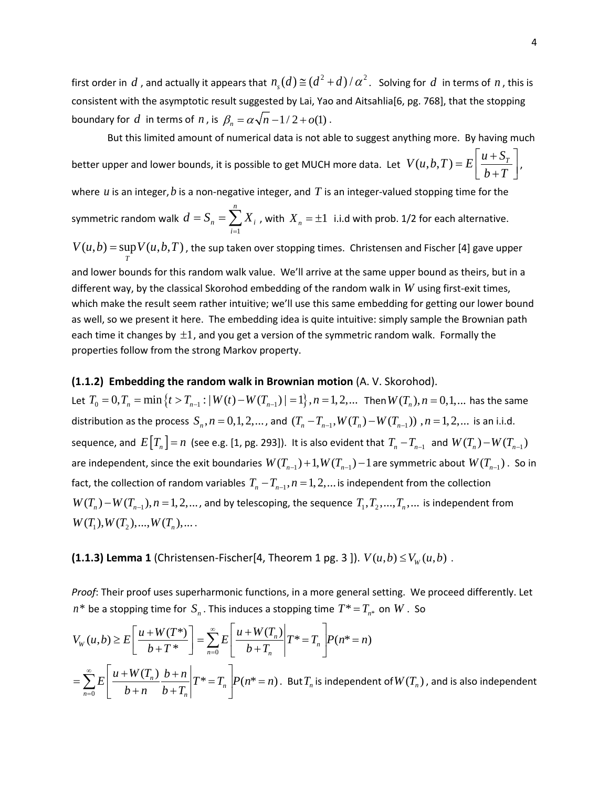first order in *d*, and actually it appears that  $n_a(d) \equiv (d^2 + d)/\alpha^2$ . Solving for *d* in terms of *n*, this is consistent with the asymptotic result suggested by Lai, Yao and Aitsahlia[6, pg. 768], that the stopping boundary for *d* in terms of *n*, is  $\beta_n = \alpha \sqrt{n-1/2} + o(1)$ .

But this limited amount of numerical data is not able to suggest anything more. By having much better upper and lower bounds, it is possible to get MUCH more data. Let  $V(u, b, T) = E\left[\frac{u + S_T}{I - T}\right]$  $E\left[\frac{u+S_T}{b+T}\right],$ where *u* is an integer,*b* is a non-negative integer, and *T* is an integer-valued stopping time for the symmetric random walk 1 *n*  $n - \sum_i$ <sup> $\Lambda_i$ </sup> *i*  $d=S_n=\sum X$  $S = S_n = \sum_{i=1} X_i$  , with  $X_n = \pm 1$  i.i.d with prob. 1/2 for each alternative.

 $(u, b)$  = sup  $V(u, b, T)$ *T*  $V(u,b) = \sup V(u,b,T)$ , the sup taken over stopping times. Christensen and Fischer [4] gave upper

and lower bounds for this random walk value. We'll arrive at the same upper bound as theirs, but in a different way, by the classical Skorohod embedding of the random walk in *W* using first-exit times, which make the result seem rather intuitive; we'll use this same embedding for getting our lower bound as well, so we present it here. The embedding idea is quite intuitive: simply sample the Brownian path each time it changes by  $\pm 1$ , and you get a version of the symmetric random walk. Formally the properties follow from the strong Markov property.

### **(1.1.2) Embedding the random walk in Brownian motion** (A. V. Skorohod).

Let  $T_0 = 0, T_n = \min\{t > T_{n-1}: |W(t) - W(T_{n-1})| = 1\}$ ,  $n = 1, 2, ...$  Then  $W(T_n)$ ,  $n = 0, 1, ...$  has the same distribution as the process  $S_n$ ,  $n = 0, 1, 2, ...$ , and  $(T_n - T_{n-1}$ ,  $W(T_n) - W(T_{n-1}))$ ,  $n = 1, 2, ...$  is an i.i.d. sequence, and  $E[T_n] = n$  (see e.g. [1, pg. 293]). It is also evident that  $T_n - T_{n-1}$  and  $W(T_n) - W(T_{n-1})$ are independent, since the exit boundaries  $W(T_{n-1}) + 1$ ,  $W(T_{n-1}) - 1$  are symmetric about  $W(T_{n-1})$ . So in fact, the collection of random variables  $T_n - T_{n-1}$ ,  $n = 1, 2, ...$  is independent from the collection  $W(T_n) - W(T_{n-1}), n = 1, 2, \ldots$ , and by telescoping, the sequence  $T_1, T_2, \ldots, T_n, \ldots$  is independent from  $W(T_1), W(T_2),..., W(T_n),...$ 

**(1.1.3) Lemma 1** (Christensen-Fischer[4, Theorem 1 pg. 3 ]).  $V(u,b) \leq V_w(u,b)$ .

*Proof*: Their proof uses superharmonic functions, in a more general setting. We proceed differently. Let  $n^*$  be a stopping time for  $S_n$ . This induces a stopping time  $T^* = T_{n^*}$  on W. So

$$
V_W(u,b) \ge E\left[\frac{u+W(T^*)}{b+T^*}\right] = \sum_{n=0}^{\infty} E\left[\frac{u+W(T_n)}{b+T_n}\middle| T^*=T_n\right] P(n^*=n)
$$
  
= 
$$
\sum_{n=0}^{\infty} E\left[\frac{u+W(T_n)}{b+n} \frac{b+n}{b+T_n}\middle| T^*=T_n\right] P(n^*=n).
$$
 But  $T_n$  is independent of  $W(T_n)$ , and is also independent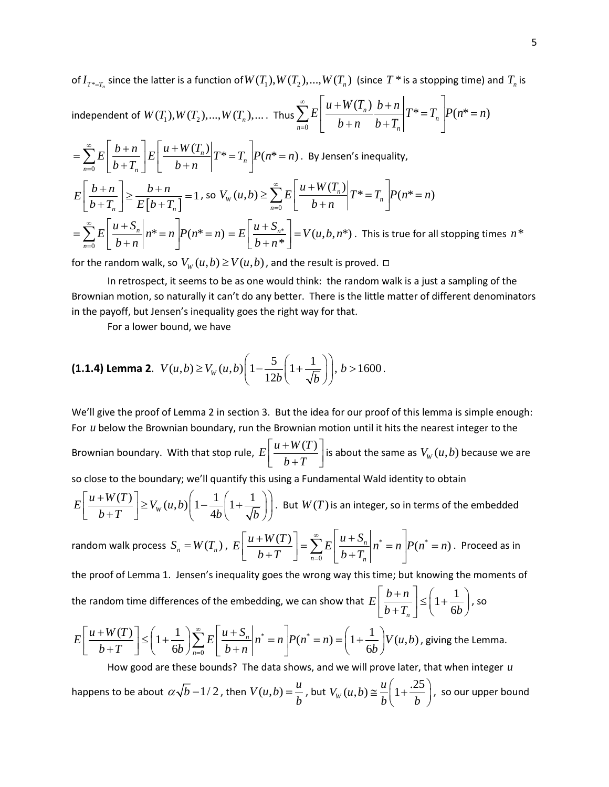of  $I_{T^* = T_n}$  since the latter is a function of  $W(T_1), W(T_2), ..., W(T_n)$  (since  $T^*$  is a stopping time) and  $T_n$  is

independent of 
$$
W(T_1), W(T_2), ..., W(T_n), ...
$$
 Thus 
$$
\sum_{n=0}^{\infty} E\left[\frac{u + W(T_n)}{b+n} \frac{b+n}{b+T_n} \middle| T^* = T_n\right] P(n^* = n)
$$

$$
= \sum_{n=0}^{\infty} E \left[ \frac{b+n}{b+T_n} \right] E \left[ \frac{u+W(T_n)}{b+n} \right] T^* = T_n \left[ P(n^* = n) \right] . \text{ By Jensen's inequality,}
$$
  
\n
$$
E \left[ \frac{b+n}{b+T_n} \right] \ge \frac{b+n}{E\left[ b+T_n \right]} = 1 \text{, so } V_W(u,b) \ge \sum_{n=0}^{\infty} E \left[ \frac{u+W(T_n)}{b+n} \right] T^* = T_n \left[ P(n^* = n) \right]
$$
  
\n
$$
= \sum_{n=0}^{\infty} E \left[ \frac{u+S_n}{b+n} \right] n^* = n \left[ P(n^* = n) = E \left[ \frac{u+S_{n^*}}{b+n^*} \right] = V(u,b,n^*) \text{. This is true for all stopping times } n^*
$$

for the random walk, so  $V_w(u,b) \ge V(u,b)$ , and the result is proved.  $\Box$ 

In retrospect, it seems to be as one would think: the random walk is a just a sampling of the Brownian motion, so naturally it can't do any better. There is the little matter of different denominators in the payoff, but Jensen's inequality goes the right way for that.

For a lower bound, we have

**(1.1.4) Lemma 2.** 
$$
V(u,b) \ge V_W(u,b) \left(1 - \frac{5}{12b} \left(1 + \frac{1}{\sqrt{b}}\right)\right), b > 1600.
$$

We'll give the proof of Lemma 2 in section 3. But the idea for our proof of this lemma is simple enough: For *u* below the Brownian boundary, run the Brownian motion until it hits the nearest integer to the Brownian boundary. With that stop rule,  $E\left[\frac{u+W(T)}{1+W(T)}\right]$  $b+T$  $\lceil u + W(T) \rceil$  $\left[\frac{u+w(x)}{b+T}\right]$  is about the same as  $V_w(u,b)$  because we are so close to the boundary; we'll quantify this using a Fundamental Wald identity to obtain  $E\left[\frac{u+W(T)}{b+T}\right] \geq V_W(u,b)\left(1-\frac{1}{4b}\right)\left(1+\frac{1}{\sqrt{b}}\right)$  $b+T$  **b**  $\left(\begin{array}{c} b \end{array}\right)$  *b*  $\left(\begin{array}{c} b \end{array}\right)$  $\lceil u+W(T)\rceil_{\geq V(G, h)}\left(1\right)\left(1\right)\right)$  $\left[\frac{u+W(Y)}{b+T}\right] \geq V_w(u,b)\left(1-\frac{1}{4b}\left(1+\frac{1}{\sqrt{b}}\right)\right)$ . But  $W(T)$  is an integer, so in terms of the embedded random walk process  $S_n = W(T_n)$ ,  $E\left| \frac{u + W(T)}{L + T}\right| = \sum E\left| \frac{u + S_n}{L + T}\right| n^* = n P(n^*)$  $\left| \frac{1}{T} \right| = \sum_{n=1}^{\infty} E \left| \frac{u + S_n}{1 - m} \right| n^* = n \left| P(n^* = n) \right|$  $E\left[\frac{u+W(T)}{1-T}\right]=\sum_{n=0}^{\infty}E\left[\frac{u+S_n}{1-T}\right]n^*=n\left|P(n^*=n)\right|$  $b+T \quad \bigsqcup \quad \sum_{n=0}^{\infty} \quad \bigr| \quad b+T$ ∞  $\left[\frac{u+W(T)}{b+T}\right] = \sum_{n=0}^{\infty} E\left[\frac{u+S_n}{b+T_n}\middle| n^* = n\right] P(n^* = n)$ . Proceed as in

 $n=0$   $\downarrow$   $U \top I_n$ the proof of Lemma 1. Jensen's inequality goes the wrong way this time; but knowing the moments of the random time differences of the embedding, we can show that  $|E|\left|\frac{b+n}{b-n}\right| \leq 1+\frac{1}{c}$  $\int_{n}^{1}$   $\int$   $\left($   $\int$  6  $E\left[\frac{b+n}{b}\right]$  $\left\lfloor \frac{b+n}{b+T_n} \right\rfloor \leq \left(1+\frac{1}{6b}\right)$ , so

0

$$
E\left[\frac{u+W(T)}{b+T}\right] \leq \left(1+\frac{1}{6b}\right) \sum_{n=0}^{\infty} E\left[\frac{u+S_n}{b+n}\middle| n^*=n\right] P(n^*=n) = \left(1+\frac{1}{6b}\right) V(u,b),
$$
 giving the Lemma.

How good are these bounds? The data shows, and we will prove later, that when integer *u* happens to be about  $\alpha \sqrt{b} - 1/2$  , then  $V(u,b) = \frac{u}{b}$  , but  $V_w(u,b) \cong \frac{u}{b} \left(1 + \frac{.25}{b}\right)$  $\cong \frac{u}{b} \left( 1 + \frac{.25}{b} \right)$ , so our upper bound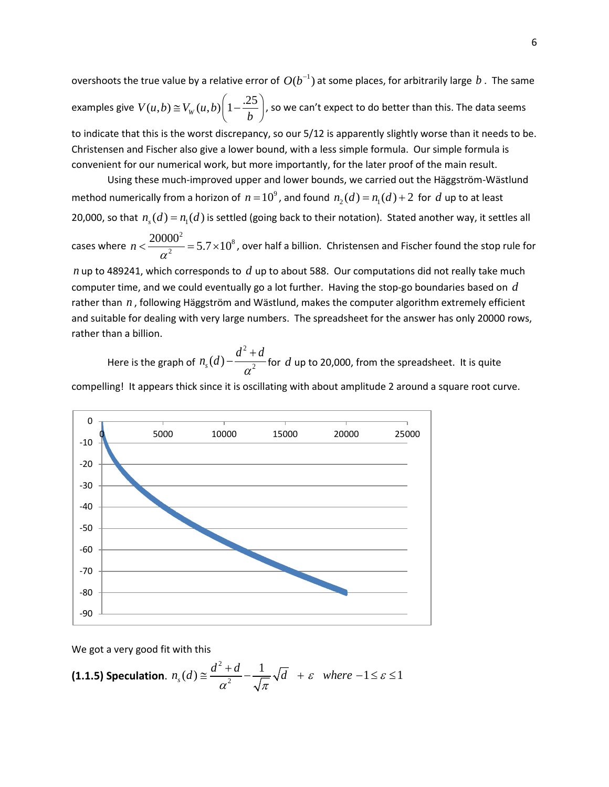overshoots the true value by a relative error of  $O(b^{-1})$  at some places, for arbitrarily large  $b$ . The same examples give  $V(u,b) \cong V_W(u,b) \bigg(1 - \frac{.25}{b}\bigg)$ , so we can't expect to do better than this. The data seems to indicate that this is the worst discrepancy, so our 5/12 is apparently slightly worse than it needs to be.

Christensen and Fischer also give a lower bound, with a less simple formula. Our simple formula is convenient for our numerical work, but more importantly, for the later proof of the main result.

Using these much-improved upper and lower bounds, we carried out the Häggström-Wästlund method numerically from a horizon of  $n = 10^9$ , and found  $n_1(d) = n_1(d) + 2$  for *d* up to at least 20,000, so that  $n_{\rm s}(d) = n_{\rm t}(d)$  is settled (going back to their notation). Stated another way, it settles all

cases where <sup>2</sup> = 5.7 \simple 10<sup>8</sup> 2  $n\!<\!\frac{20000^2}{\alpha^2}\!=\!5.7\!\times\!10^8$  , over half a billion. Christensen and Fischer found the stop rule for

*n* up to 489241, which corresponds to *d* up to about 588. Our computations did not really take much computer time, and we could eventually go a lot further. Having the stop-go boundaries based on *d* rather than *n* , following Häggström and Wästlund, makes the computer algorithm extremely efficient and suitable for dealing with very large numbers. The spreadsheet for the answer has only 20000 rows, rather than a billion.

Here is the graph of 2  $n_{s}(d)$  –  $\displaystyle{\frac{d^{2}+d}{\alpha^{2}}}$  for  $\displaystyle{d}$  up to 20,000, from the spreadsheet. It is quite

compelling! It appears thick since it is oscillating with about amplitude 2 around a square root curve.



We got a very good fit with this

**(1.1.5) Speculation.** 
$$
n_s(d) \approx \frac{d^2 + d}{\alpha^2} - \frac{1}{\sqrt{\pi}} \sqrt{d} + \varepsilon
$$
 where  $-1 \le \varepsilon \le 1$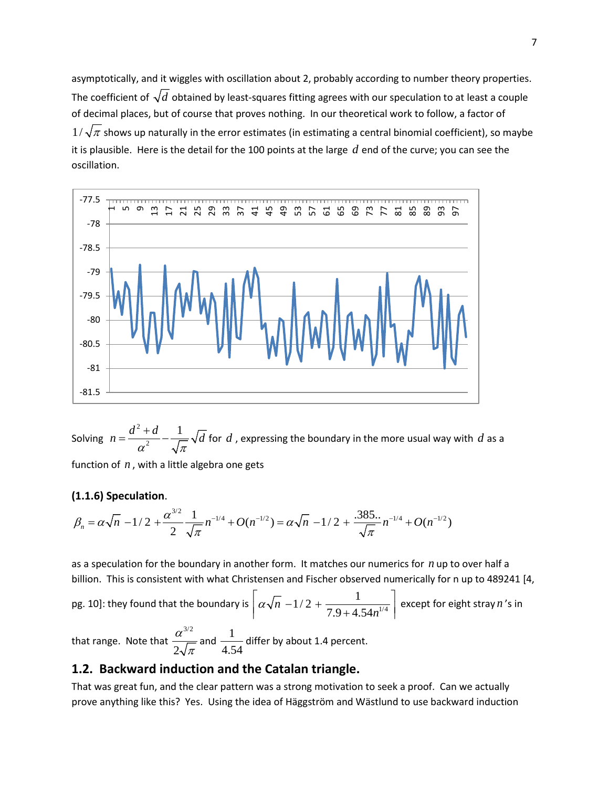asymptotically, and it wiggles with oscillation about 2, probably according to number theory properties. The coefficient of  $\sqrt{d}$  obtained by least-squares fitting agrees with our speculation to at least a couple of decimal places, but of course that proves nothing. In our theoretical work to follow, a factor of  $1/\sqrt{\pi}$  shows up naturally in the error estimates (in estimating a central binomial coefficient), so maybe it is plausible. Here is the detail for the 100 points at the large *d* end of the curve; you can see the oscillation.



Solving 2  $m = \frac{d^2+d}{\alpha^2} - \frac{1}{\sqrt{\pi}}\sqrt{d}$  for  $d$  , expressing the boundary in the more usual way with  $d$  as a

function of *n* , with a little algebra one gets

### **(1.1.6) Speculation**.

$$
\beta_n = \alpha \sqrt{n} - 1/2 + \frac{\alpha^{3/2}}{2} \frac{1}{\sqrt{\pi}} n^{-1/4} + O(n^{-1/2}) = \alpha \sqrt{n} - 1/2 + \frac{.385..}{\sqrt{\pi}} n^{-1/4} + O(n^{-1/2})
$$

as a speculation for the boundary in another form. It matches our numerics for *n* up to over half a billion. This is consistent with what Christensen and Fischer observed numerically for n up to 489241 [4,

pg. 10]: they found that the boundary is  $\left[\alpha\sqrt{n}\right]-1/2+\frac{1}{7.0+4.54n^{1/4}}\right]$  $7.9 + 4.54$ *n*  $a\sqrt{n}$  –1/2 +  $\frac{}{7.9+4.54n}$  $\left[\alpha\sqrt{n} - 1/2 + \frac{1}{7.9 + 4.54n^{1/4}}\right]$  except for eight stray *n*'s in that range. Note that 3/2 2 α  $\frac{1}{\pi}$  and  $\frac{1}{4.5}$  $\frac{1}{4.54}$  differ by about 1.4 percent.

### **1.2. Backward induction and the Catalan triangle.**

That was great fun, and the clear pattern was a strong motivation to seek a proof. Can we actually prove anything like this? Yes. Using the idea of Häggström and Wästlund to use backward induction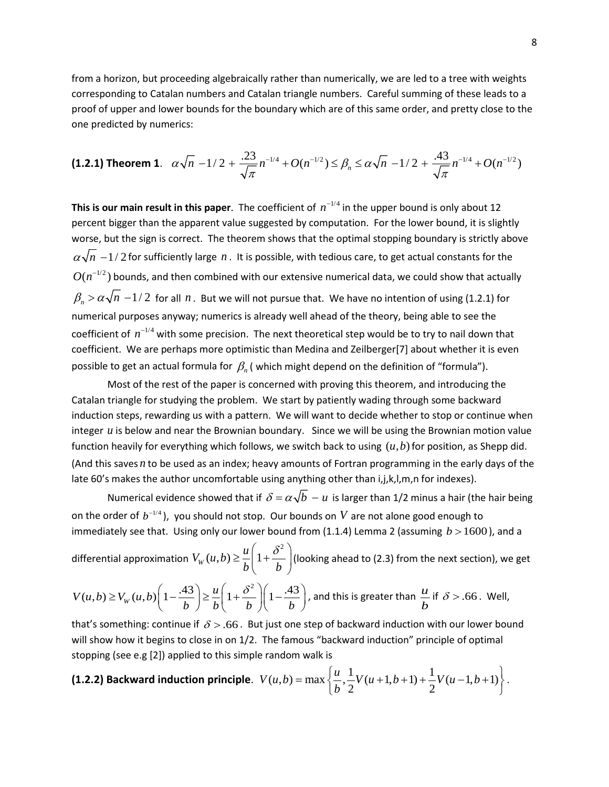from a horizon, but proceeding algebraically rather than numerically, we are led to a tree with weights corresponding to Catalan numbers and Catalan triangle numbers. Careful summing of these leads to a proof of upper and lower bounds for the boundary which are of this same order, and pretty close to the one predicted by numerics:

$$
\textbf{(1.2.1) Theorem 1.} \quad \alpha \sqrt{n} \ -1/2 \ + \ \frac{.23}{\sqrt{\pi}} n^{-1/4} \ + \ O(n^{-1/2}) \le \beta_n \le \alpha \sqrt{n} \ -1/2 \ + \ \frac{.43}{\sqrt{\pi}} n^{-1/4} \ + \ O(n^{-1/2})
$$

**This is our main result in this paper**. The coefficient of  $n^{-1/4}$  in the upper bound is only about 12 percent bigger than the apparent value suggested by computation. For the lower bound, it is slightly worse, but the sign is correct. The theorem shows that the optimal stopping boundary is strictly above  $\alpha\sqrt{n}$  −1/2 for sufficiently large  $n$ . It is possible, with tedious care, to get actual constants for the  $O(n^{-1/2})$  bounds, and then combined with our extensive numerical data, we could show that actually  $\beta_n > \alpha \sqrt{n} - 1/2$  for all  $n$ . But we will not pursue that. We have no intention of using (1.2.1) for numerical purposes anyway; numerics is already well ahead of the theory, being able to see the coefficient of  $n^{-1/4}$  with some precision. The next theoretical step would be to try to nail down that coefficient. We are perhaps more optimistic than Medina and Zeilberger[7] about whether it is even possible to get an actual formula for β*<sup>n</sup>* ( which might depend on the definition of "formula").

Most of the rest of the paper is concerned with proving this theorem, and introducing the Catalan triangle for studying the problem. We start by patiently wading through some backward induction steps, rewarding us with a pattern. We will want to decide whether to stop or continue when integer *u* is below and near the Brownian boundary. Since we will be using the Brownian motion value function heavily for everything which follows, we switch back to using  $(u,b)$  for position, as Shepp did. (And this saves *n* to be used as an index; heavy amounts of Fortran programming in the early days of the late 60's makes the author uncomfortable using anything other than i,j,k,l,m,n for indexes).

Numerical evidence showed that if  $\delta = \alpha \sqrt{b} - u$  is larger than 1/2 minus a hair (the hair being on the order of  $b^{-1/4}$ ), you should not stop. Our bounds on *V* are not alone good enough to immediately see that. Using only our lower bound from (1.1.4) Lemma 2 (assuming  $b > 1600$ ), and a

differential approximation 2  $V_w(u,b) \geq \frac{u}{l} \left( 1 \right)$  $\geq \frac{u}{b} \left( 1 + \frac{\delta^2}{b} \right)$ (looking ahead to (2.3) from the next section), we get

$$
V(u,b) \ge V_W(u,b) \left(1 - \frac{.43}{b}\right) \ge \frac{u}{b} \left(1 + \frac{\delta^2}{b}\right) \left(1 - \frac{.43}{b}\right)
$$
, and this is greater than  $\frac{u}{b}$  if  $\delta$  > .66. Well,

that's something: continue if  $\delta$  > .66. But just one step of backward induction with our lower bound will show how it begins to close in on 1/2. The famous "backward induction" principle of optimal stopping (see e.g [2]) applied to this simple random walk is

**(1.2.2) Backward induction principle.** 
$$
V(u,b) = \max \left\{ \frac{u}{b}, \frac{1}{2}V(u+1,b+1) + \frac{1}{2}V(u-1,b+1) \right\}.
$$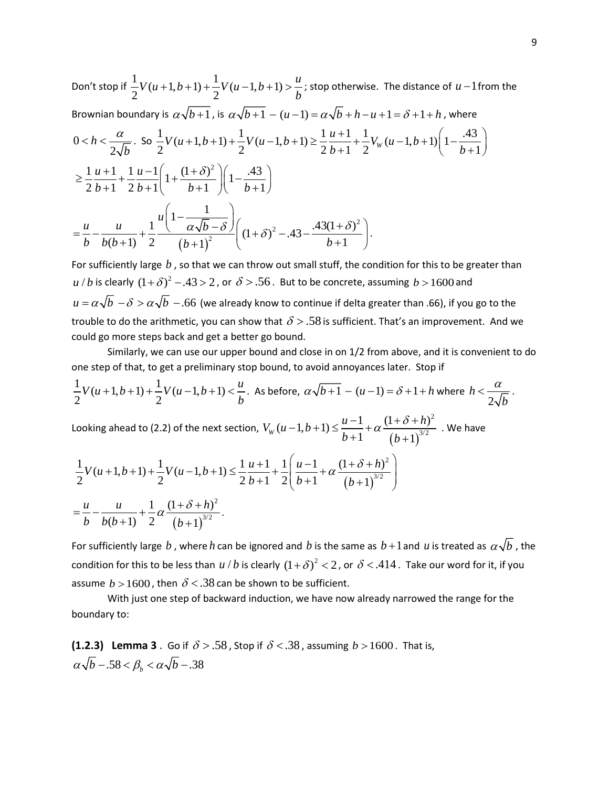Don't stop if  $\frac{1}{2}V(u+1,b+1) + \frac{1}{2}V(u-1,b+1) > \frac{u}{b}$ *b*  $+1,b+1$  +  $\frac{1}{2}V(u-1,b+1)$  >  $\frac{u}{2}$ ; stop otherwise. The distance of *u* − 1 from the Brownian boundary is  $\alpha \sqrt{b+1}$ , is  $\alpha \sqrt{b+1} - (u-1) = \alpha \sqrt{b} + h - u + 1 = \delta + 1 + h$ , where 0 2 *h b*  $a < h < \frac{\alpha}{2\sqrt{b}}$ . So  $\frac{1}{2}V(u+1,b+1) + \frac{1}{2}V(u-1,b+1) \ge \frac{1}{2}\frac{u+1}{b+1} + \frac{1}{2}V_w(u-1,b+1)\left(1-\frac{.43}{b+1}\right)$  $(b+1)+\frac{1}{2}V(u-1,b+1) \geq \frac{1}{2}\frac{u+1}{b+1} + \frac{1}{2}V_w(u-1,b+1)\left(1-\frac{.43}{b+1}\right)$  $\frac{1}{2}u+1+\frac{1}{2}u-1\left(1+\frac{(1+\delta)^2}{1+\frac{(1+\delta)^2}{1+\delta}}\right)\left(1-\frac{.43}{.43}\right)$  $2 b + 1 2 b + 1$   $b + 1 \nvert b + 1$  $u+1$  1 u  $\geq \frac{1}{2} \frac{u+1}{b+1} + \frac{1}{2} \frac{u-1}{b+1} \left( 1 + \frac{(1+\delta)^2}{b+1} \right) \left( 1 - \frac{.43}{b+1} \right)$  $(b+1)$ 2  $.43(1+\delta)^2$ 2  $1 - \frac{1}{\sqrt{2}}$  $\frac{u}{(b+1)} + \frac{1}{2} \frac{(-\alpha\sqrt{b-\delta})}{(b+1)^2} \left( (1+\delta)^2 - .43 - \frac{.43(1+\delta)}{b+1} \right)$ *u u u* 1  $\alpha \sqrt{b}$ *b*  $b(b+1)$  2  $(b+1)^2$   $(b+1)^2$  $\left(\frac{1-\frac{1}{\alpha\sqrt{b}-\delta}}{\alpha\sqrt{b}-\delta}\right)_{(1+\delta)^2-A3-\frac{A3(1+\delta)^2}{\alpha}}$  $=\frac{a}{b} - \frac{a}{b(b+1)} + \frac{1}{2} \frac{(a\sqrt{b}-b)}{(b+1)^2} \left(1+\delta\right)^2 - .43 - \frac{.43(1+b)}{b+1}$  $+1)$  2  $(b+1)^2$   $\left(\begin{array}{cccc} 1 & b+1 \\ c & c \end{array}\right)$ .

For sufficiently large *b* , so that we can throw out small stuff, the condition for this to be greater than *u l b* is clearly  $(1 + \delta)^2 - 0.43 > 2$ , or  $\delta > 0.56$ . But to be concrete, assuming  $b > 1600$  and  $u = \alpha \sqrt{b} - \delta > \alpha \sqrt{b} - 0.66$  (we already know to continue if delta greater than .66), if you go to the trouble to do the arithmetic, you can show that  $\delta > 0.58$  is sufficient. That's an improvement. And we could go more steps back and get a better go bound.

Similarly, we can use our upper bound and close in on 1/2 from above, and it is convenient to do one step of that, to get a preliminary stop bound, to avoid annoyances later. Stop if

$$
\frac{1}{2}V(u+1,b+1)+\frac{1}{2}V(u-1,b+1)<\frac{u}{b}.
$$
 As before,  $\alpha\sqrt{b+1}-(u-1)=\delta+1+h$  where  $h<\frac{\alpha}{2\sqrt{b}}$ .

Looking ahead to (2.2) of the next section,  $(b+1)$ 2 3/2  $V_w(u-1,b+1) \leq \frac{u-1}{b+1} + \alpha \frac{(1+\delta+h)}{(b+1)^{3/2}}$  $b+1$  (*b*  $(-1,b+1) \leq \frac{u-1}{b+1} + \alpha \frac{(1+\delta+h)^2}{\left(b+1\right)^{3/2}}$  . We have

$$
\frac{1}{2}V(u+1,b+1) + \frac{1}{2}V(u-1,b+1) \le \frac{1}{2}\frac{u+1}{b+1} + \frac{1}{2}\left(\frac{u-1}{b+1} + \alpha\frac{(1+\delta+h)^2}{(b+1)^{3/2}}\right)
$$
\n
$$
= \frac{u}{b} - \frac{u}{b(b+1)} + \frac{1}{2}\alpha\frac{(1+\delta+h)^2}{(b+1)^{3/2}}.
$$

For sufficiently large  $b$  , where  $h$  can be ignored and  $b$  is the same as  $b+1$  and  $u$  is treated as  $\alpha\sqrt{b}$  , the condition for this to be less than  $u/b$  is clearly  $(1 + \delta)^2 < 2$ , or  $\delta < 0.414$ . Take our word for it, if you assume  $b > 1600$ , then  $\delta < .38$  can be shown to be sufficient.

With just one step of backward induction, we have now already narrowed the range for the boundary to:

**(1.2.3) Lemma 3**. Go if  $\delta > .58$ , Stop if  $\delta < .38$ , assuming  $b > 1600$ . That is,  $\alpha\sqrt{b}$  – .58 <  $\beta<sub>b</sub>$  <  $\alpha\sqrt{b}$  – .38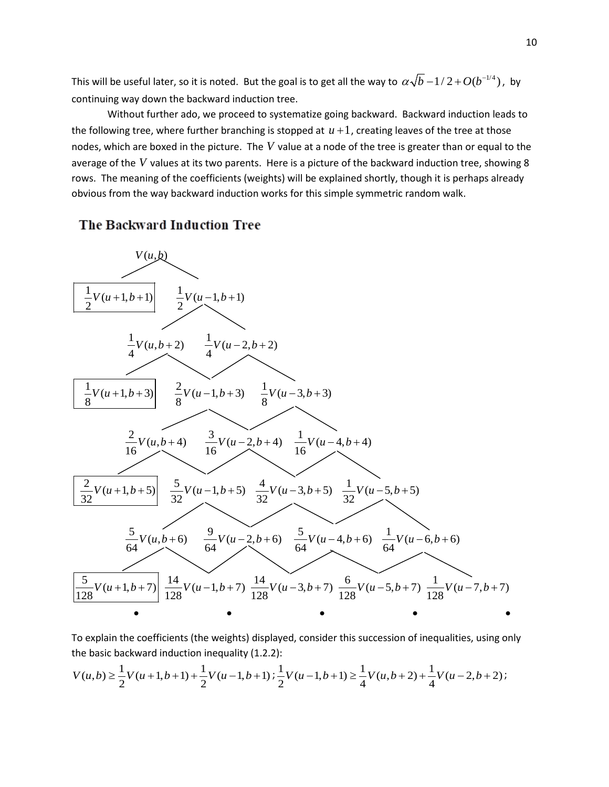This will be useful later, so it is noted. But the goal is to get all the way to  $\alpha\sqrt{b} - 1/2 + O(b^{-1/4})$ , by continuing way down the backward induction tree.

Without further ado, we proceed to systematize going backward. Backward induction leads to the following tree, where further branching is stopped at  $u+1$ , creating leaves of the tree at those nodes, which are boxed in the picture. The *V* value at a node of the tree is greater than or equal to the average of the *V* values at its two parents. Here is a picture of the backward induction tree, showing 8 rows. The meaning of the coefficients (weights) will be explained shortly, though it is perhaps already obvious from the way backward induction works for this simple symmetric random walk.

# The Backward Induction Tree



To explain the coefficients (the weights) displayed, consider this succession of inequalities, using only the basic backward induction inequality (1.2.2):

$$
V(u,b) \geq \frac{1}{2}V(u+1,b+1)+\frac{1}{2}V(u-1,b+1) ; \frac{1}{2}V(u-1,b+1) \geq \frac{1}{4}V(u,b+2)+\frac{1}{4}V(u-2,b+2) ;
$$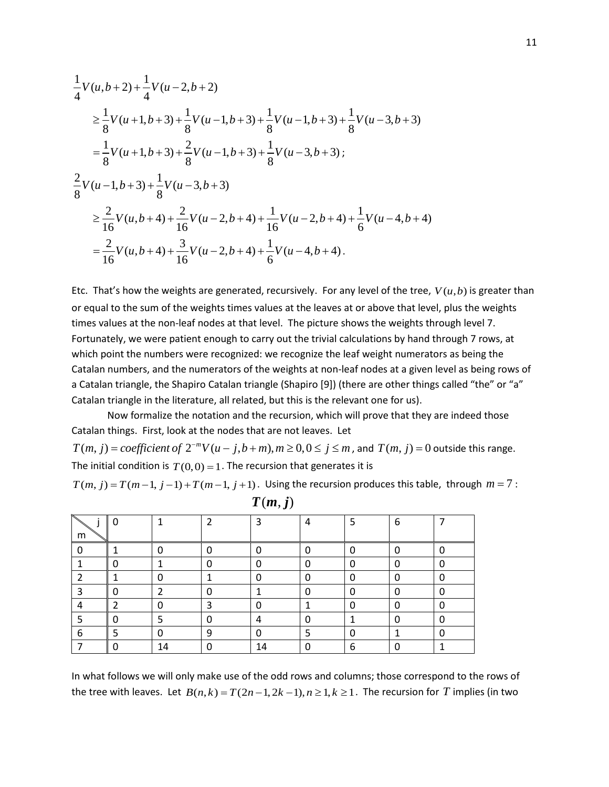$$
\frac{1}{4}V(u,b+2) + \frac{1}{4}V(u-2,b+2)
$$
\n
$$
\geq \frac{1}{8}V(u+1,b+3) + \frac{1}{8}V(u-1,b+3) + \frac{1}{8}V(u-1,b+3) + \frac{1}{8}V(u-3,b+3)
$$
\n
$$
= \frac{1}{8}V(u+1,b+3) + \frac{2}{8}V(u-1,b+3) + \frac{1}{8}V(u-3,b+3);
$$
\n
$$
\frac{2}{8}V(u-1,b+3) + \frac{1}{8}V(u-3,b+3)
$$
\n
$$
\geq \frac{2}{16}V(u,b+4) + \frac{2}{16}V(u-2,b+4) + \frac{1}{16}V(u-2,b+4) + \frac{1}{6}V(u-4,b+4)
$$
\n
$$
= \frac{2}{16}V(u,b+4) + \frac{3}{16}V(u-2,b+4) + \frac{1}{6}V(u-4,b+4).
$$

Etc. That's how the weights are generated, recursively. For any level of the tree,  $V(u,b)$  is greater than or equal to the sum of the weights times values at the leaves at or above that level, plus the weights times values at the non-leaf nodes at that level. The picture shows the weights through level 7. Fortunately, we were patient enough to carry out the trivial calculations by hand through 7 rows, at which point the numbers were recognized: we recognize the leaf weight numerators as being the Catalan numbers, and the numerators of the weights at non-leaf nodes at a given level as being rows of a Catalan triangle, the Shapiro Catalan triangle (Shapiro [9]) (there are other things called "the" or "a" Catalan triangle in the literature, all related, but this is the relevant one for us).

Now formalize the notation and the recursion, which will prove that they are indeed those Catalan things. First, look at the nodes that are not leaves. Let

 $T(m, j) = coefficient of 2<sup>-m</sup>V(u - j, b + m), m \ge 0, 0 \le j \le m$ , and  $T(m, j) = 0$  outside this range. The initial condition is  $T(0,0) = 1$ . The recursion that generates it is

$$
T(m, j) = T(m-1, j-1) + T(m-1, j+1)
$$
. Using the recursion produces this table, through  $m = 7$ :

| m | 0 | ◢              | 2 | 3  | 4 | 5 | 6 |   |  |
|---|---|----------------|---|----|---|---|---|---|--|
|   |   | 0              | 0 | 0  | 0 |   | ი | r |  |
|   | 0 |                | 0 | 0  | 0 |   |   |   |  |
|   |   | 0              |   | 0  | 0 |   | U |   |  |
| 3 | 0 | $\overline{2}$ | 0 |    | 0 |   | 0 |   |  |
|   | 2 | 0              | 3 | 0  |   |   | U |   |  |
| 5 | 0 | 5              | 0 | 4  | 0 |   |   |   |  |
| 6 | 5 | 0              | 9 | 0  | 5 |   |   |   |  |
|   | 0 | 14             | U | 14 |   | 6 |   |   |  |

 $T(m, j)$ 

In what follows we will only make use of the odd rows and columns; those correspond to the rows of the tree with leaves. Let  $B(n, k) = T(2n - 1, 2k - 1), n \ge 1, k \ge 1$ . The recursion for *T* implies (in two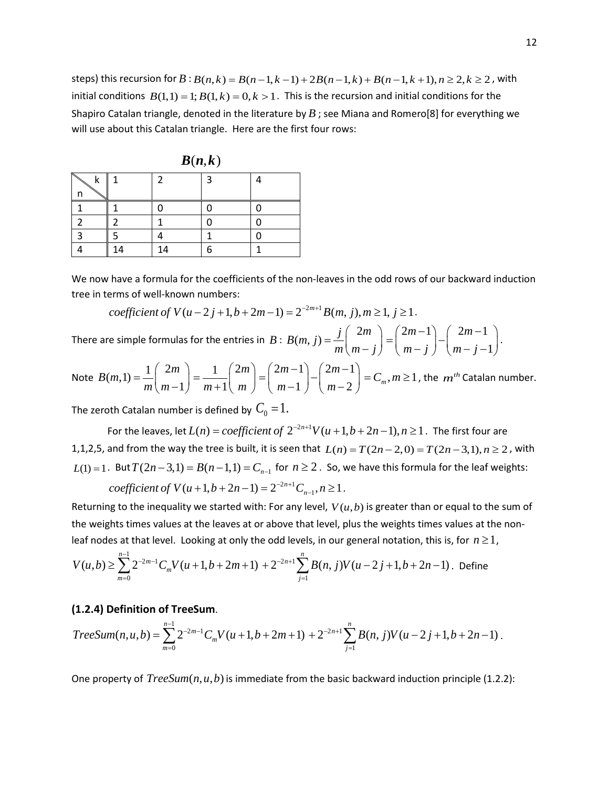steps) this recursion for  $B$  :  $B(n, k) = B(n-1, k-1) + 2B(n-1, k) + B(n-1, k+1), n \ge 2, k \ge 2$ , with initial conditions  $B(1,1) = 1$ ;  $B(1,k) = 0, k > 1$ . This is the recursion and initial conditions for the Shapiro Catalan triangle, denoted in the literature by *B* ; see Miana and Romero[8] for everything we will use about this Catalan triangle. Here are the first four rows:

|   | $\bm{D}(\bm{n},\bm{k})$ |    |   |  |  |  |  |  |
|---|-------------------------|----|---|--|--|--|--|--|
| k |                         | 2  | 3 |  |  |  |  |  |
| n |                         |    |   |  |  |  |  |  |
|   |                         |    |   |  |  |  |  |  |
|   |                         |    |   |  |  |  |  |  |
|   |                         |    |   |  |  |  |  |  |
|   | 14                      | 14 |   |  |  |  |  |  |

 $\mathbf{D}$ *(,,,,,)* 

We now have a formula for the coefficients of the non-leaves in the odd rows of our backward induction tree in terms of well-known numbers:

$$
coefficient of V(u-2j+1,b+2m-1) = 2^{-2m+1}B(m, j), m \ge 1, j \ge 1.
$$

There are simple formulas for the entries in *B* :  $B(m, j) = \frac{j}{j} \left(2m\right)$  $=\frac{j}{m} \binom{2m}{m-j} = \binom{2m-1}{m-j} - \binom{2m-1}{m-j}$ 1  $m-1$   $\binom{2m}{m}$  $=\binom{2m-1}{m-j} - \binom{2m-1}{m-j-1}.$ 

Note  $B(m,1) = \frac{1}{2} \begin{pmatrix} 2 \end{pmatrix}$  $(m,1) = \frac{1}{m} \binom{2}{m-1}$ *m B m*  $=\frac{1}{m}\binom{2m}{m-1}=\frac{1}{m+1}\binom{2}{n}$ 1 *m*  $=\frac{1}{m+1} \binom{2m}{m} = \binom{2m-1}{m-1} - \binom{2m-1}{m-2}$  $1 \} \ \mid m-2$  $m-1$  (2*m*  $=\left(\begin{matrix} 2m-1 \ m-1 \end{matrix}\right)-\left(\begin{matrix} 2m-1 \ m-2 \end{matrix}\right)=C_m, m\geq 1$ , the  $m<sup>th</sup>$  Catalan number.

The zeroth Catalan number is defined by  $C_0 = 1$ .

For the leaves, let  $L(n) = coefficient of 2^{-2n+1}V(u+1,b+2n-1), n \ge 1$ . The first four are 1,1,2,5, and from the way the tree is built, it is seen that  $L(n) = T(2n-2,0) = T(2n-3,1), n \ge 2$ , with *L*(1) = 1. But  $T(2n-3,1) = B(n-1,1) = C_{n-1}$  for  $n \ge 2$ . So, we have this formula for the leaf weights:

$$
coefficient of V(u+1,b+2n-1) = 2^{-2n+1}C_{n-1}, n \ge 1.
$$

Returning to the inequality we started with: For any level,  $V(u,b)$  is greater than or equal to the sum of the weights times values at the leaves at or above that level, plus the weights times values at the nonleaf nodes at that level. Looking at only the odd levels, in our general notation, this is, for  $n \ge 1$ ,

$$
V(u,b) \geq \sum_{m=0}^{n-1} 2^{-2m-1} C_m V(u+1,b+2m+1) + 2^{-2n+1} \sum_{j=1}^{n} B(n,j)V(u-2j+1,b+2n-1).
$$
 Define

### **(1.2.4) Definition of TreeSum**.

$$
TreeSum(n, u, b) = \sum_{m=0}^{n-1} 2^{-2m-1} C_m V(u+1, b+2m+1) + 2^{-2n+1} \sum_{j=1}^{n} B(n, j) V(u-2j+1, b+2n-1).
$$

One property of  $TreeSum(n, u, b)$  is immediate from the basic backward induction principle (1.2.2):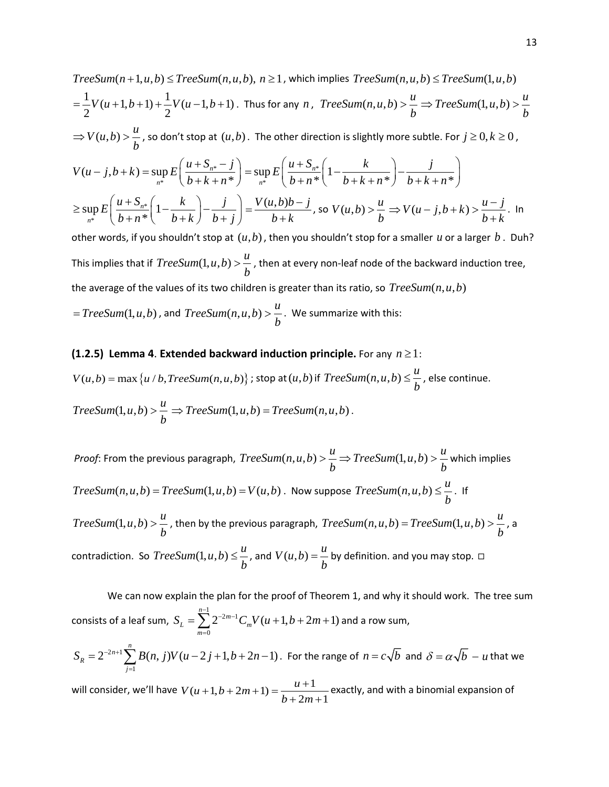TreeSum(n+1,u,b) ≤ TreeSum(n,u,b), n ≥ 1, which implies TreeSum(n,u,b) ≤ TreeSum(1,u,b)  
\n
$$
= \frac{1}{2}V(u+1,b+1) + \frac{1}{2}V(u-1,b+1)
$$
 Thus for any n, TreeSum(n,u,b) >  $\frac{u}{b}$  ⇒ TreeSum(1,u,b) >  $\frac{u}{b}$   
\n⇒  $V(u,b) > \frac{u}{b}$ , so don't stop at (u,b). The other direction is slightly more subtle. For  $j \ge 0, k \ge 0$ ,  
\n
$$
V(u-j,b+k) = \sup_{n^*} E\left(\frac{u+S_{n^*}-j}{b+k+n^*}\right) = \sup_{n^*} E\left(\frac{u+S_{n^*}}{b+n^*}\left(1-\frac{k}{b+k+n^*}\right) - \frac{j}{b+k+n^*}\right)
$$
\n
$$
\ge \sup_{n^*} E\left(\frac{u+S_{n^*}}{b+n^*}\left(1-\frac{k}{b+k}\right) - \frac{j}{b+j}\right) = \frac{V(u,b)b-j}{b+k}, \text{ so } V(u,b) > \frac{u}{b} \Rightarrow V(u-j,b+k) > \frac{u-j}{b+k}.
$$
 In other words, if you shouldn't stop at (u,b), then you shouldn't stop for a smaller u or a larger b. Dub?

This implies that if  $TreeSum(1, u, b) > \frac{u}{u}$ *b*  $>\frac{a}{r}$ , then at every non-leaf node of the backward induction tree, the average of the values of its two children is greater than its ratio, so  $TreeSum(n, u, b)$ 

 $= TreeSum(1, u, b)$  , and  $TreeSum(n, u, b) > \frac{u}{b}$ *b*  $>\frac{u}{1}$ . We summarize with this:

### **(1.2.5) Lemma 4**. **Extended backward induction principle.** For any *n* ≥1:

 $V(u,b) = \max\left\{u/b, TreeSum(n,u,b)\right\}$ ; stop at  $(u,b)$  if  $TreeSum(n,u,b) \leq \frac{u}{l}$ *b*  $\leq \frac{u}{t}$ , else continue.  $TreeSum(1, u, b) > \frac{u}{t}$ *b*  $\geq \frac{a}{b} \Rightarrow TreeSum(1, u, b) = TreeSum(n, u, b)$ .

*Proof*: From the previous paragraph,  $TreeSum(n, u, b) > \frac{u}{u} \Rightarrow TreeSum(1, u, b) > \frac{u}{u}$ *b b*  $\Rightarrow \frac{u}{1} \Rightarrow TreeSum(1, u, b) > \frac{u}{1}$  which implies  $TreeSum(n, u, b) = TreeSum(1, u, b) = V(u, b)$ . Now suppose  $TreeSum(n, u, b) \leq \frac{u}{t}$ *b*  $\leq \frac{n}{1}$ . If  $TreeSum(1, u, b) > \frac{u}{t}$ *b*  $>$   $\frac{u}{b}$ , then by the previous paragraph,  $TreeSum(n, u, b) = TreeSum(1, u, b) > \frac{u}{b}$ , a contradiction. So  $TreeSum(1, u, b) \leq \frac{u}{b}$ *b*  $\leq$   $\frac{u}{b}$ , and  $V(u,b)$  =  $\frac{u}{b}$  by definition. and you may stop.  $\Box$ 

We can now explain the plan for the proof of Theorem 1, and why it should work. The tree sum consists of a leaf sum,  $\sum_{n=1}^{1}$ 0  $\sum_{m=1}^{n-1} 2^{-2m-1} C_m V(u+1,b+2m+1)$  $L - \sum_{m}$   $\sum_{m}$ *m*  $S_L = \sum_{m=1}^{n-1} 2^{-2m-1} C_m V(u+1,b+2m)$  $=\sum_{m=0}^{\infty} 2^{-2m-1} C_m V(u+1,b+2m+1)$  and a row sum,  $2n+1$ 1  $2^{-2n+1}\sum_{i=1}^{n}B(n, j)V(u-2j+1,b+2n-1)$ *R j*  $S_R = 2^{-2n+1} \sum B(n, j) V(u - 2j + 1, b + 2n)$  $= 2^{-2n+1}\sum_{j=1} B(n, j)V(u-2j+1,b+2n-1)$ . For the range of  $n = c\sqrt{b}$  and  $\delta = \alpha\sqrt{b} - u$  that we

will consider, we'll have  $V(u + 1, b + 2m + 1) = \frac{u + 1}{b + 2m + 1}$  $b+2m$  $+1, b + 2m + 1 = \frac{u + 1}{2}$  $+ 2m +$ exactly, and with a binomial expansion of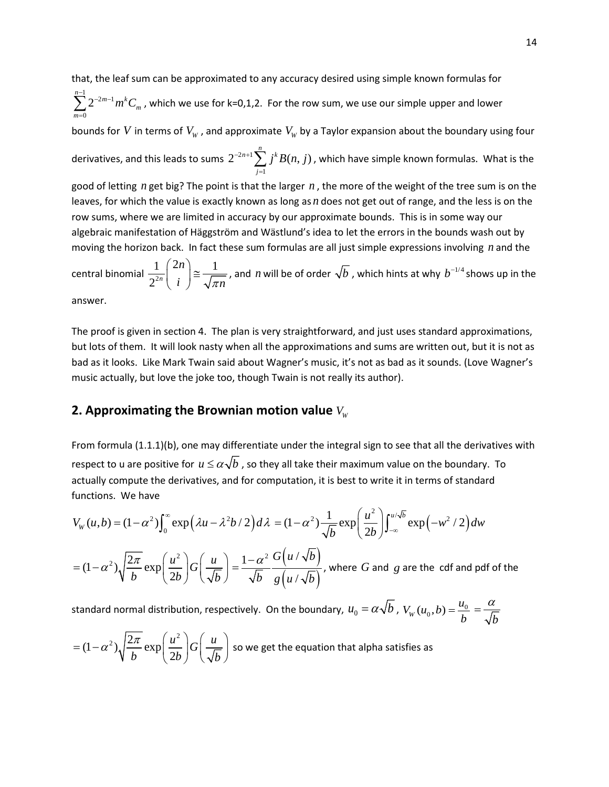that, the leaf sum can be approximated to any accuracy desired using simple known formulas for  $\sum_{1}^{1}$   $2^{-2m-1}$  $\mathbf{0}$  $\sum_{n=1}^{n-1} 2^{-2m-1} m^k$ *m m*  $\sum_{l=1}^{-1} 2^{-2m-1} m^k C$  $\sum_{m=0} 2^{-2m-1} m^k C_m$  , which we use for k=0,1,2. For the row sum, we use our simple upper and lower bounds for *V* in terms of  $V_w$ , and approximate  $V_w$  by a Taylor expansion about the boundary using four derivatives, and this leads to sums  $2^{-2n+1}$ 1  $2^{-2n+1}\sum_{j=1}^{n}j^{k}B(n,j)$ *j* <sup>-2n+1</sup>∑<sub>,</sub> *j<sup>k</sup>B*(*n*, *j*  $\sum_{j=1} j^k B(n, j)$  , which have simple known formulas. What is the good of letting *n* get big? The point is that the larger *n* , the more of the weight of the tree sum is on the leaves, for which the value is exactly known as long as *n* does not get out of range, and the less is on the row sums, where we are limited in accuracy by our approximate bounds. This is in some way our algebraic manifestation of Häggström and Wästlund's idea to let the errors in the bounds wash out by moving the horizon back. In fact these sum formulas are all just simple expressions involving *n* and the central binomial  $\frac{1}{2^2}$  $1 \binom{2n}{3}$  1  $2^{2n}$ *n*  $\binom{2n}{i} \cong \frac{1}{\sqrt{\pi n}}$  $(i)$ *,* and *n* will be of order  $\sqrt{b}$  , which hints at why  $b^{-1/4}$  shows up in the answer.

The proof is given in section 4. The plan is very straightforward, and just uses standard approximations, but lots of them. It will look nasty when all the approximations and sums are written out, but it is not as bad as it looks. Like Mark Twain said about Wagner's music, it's not as bad as it sounds. (Love Wagner's music actually, but love the joke too, though Twain is not really its author).

## **2. Approximating the Brownian motion value**  $V_w$

From formula (1.1.1)(b), one may differentiate under the integral sign to see that all the derivatives with respect to u are positive for  $u \le \alpha \sqrt{b}$ , so they all take their maximum value on the boundary. To actually compute the derivatives, and for computation, it is best to write it in terms of standard functions. We have

$$
V_W(u,b) = (1 - \alpha^2) \int_0^{\infty} \exp\left(\lambda u - \lambda^2 b / 2\right) d\lambda = (1 - \alpha^2) \frac{1}{\sqrt{b}} \exp\left(\frac{u^2}{2b}\right) \int_{-\infty}^{u/\sqrt{b}} \exp\left(-w^2 / 2\right) dw
$$

 $(1-\alpha^2)\sqrt{\frac{2\pi}{b}}\exp\left(\frac{u^2}{2b}\right)G\left(\frac{u}{\sqrt{b}}\right)$  $b \left( \begin{array}{c} 1 \\ 2b \end{array} \right) \left( \sqrt{b} \right)$  $\alpha^2$ ),  $\frac{2\pi}{\pi}$  $= (1 - \alpha^2) \sqrt{\frac{2\pi}{b}} \exp\left(\frac{u^2}{2b}\right) G\left(\frac{u}{\sqrt{b}}\right) = \frac{1 - \alpha^2}{\sqrt{b}} \frac{G\left(u/\sqrt{b}\right)}{g\left(u/\sqrt{b}\right)}$  $(u/\sqrt{b})$  $1-\alpha^2$   $G(u/$ /  $G(u/\sqrt{b})$ b  $g(u/\sqrt{b})$  $=\frac{1-\alpha^2}{\sqrt{2}}\frac{G(u\sqrt{v}}{\sqrt{2}}$ , where *G* and *g* are the cdf and pdf of the

standard normal distribution, respectively. On the boundary,  $u_0 = \alpha \sqrt{b}$  ,  $V_w(u_0, b) = \frac{u_0}{b} = \frac{\alpha}{\sqrt{b}}$ 

$$
= (1 - \alpha^2) \sqrt{\frac{2\pi}{b}} \exp\left(\frac{u^2}{2b}\right) G\left(\frac{u}{\sqrt{b}}\right)
$$
 so we get the equation that alpha satisfies as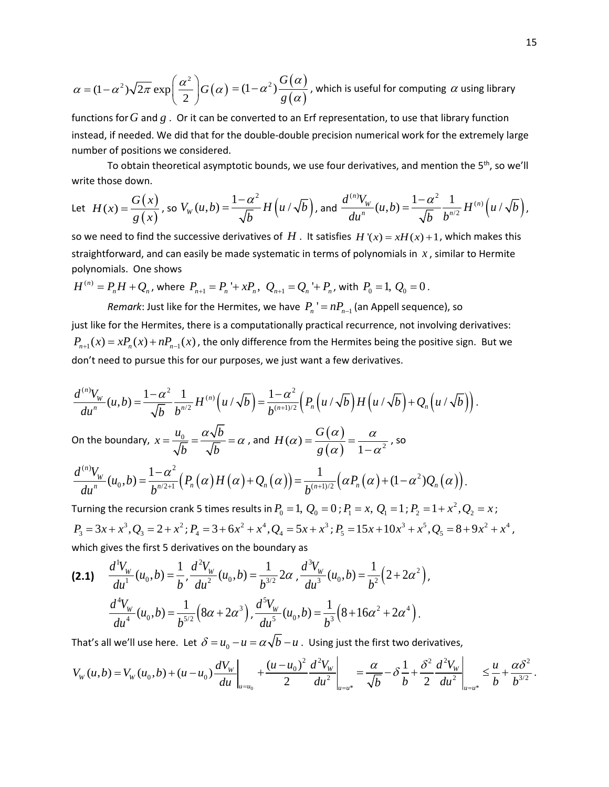$$
\alpha = (1 - \alpha^2)\sqrt{2\pi} \exp\left(\frac{\alpha^2}{2}\right)G(\alpha) = (1 - \alpha^2)\frac{G(\alpha)}{g(\alpha)},
$$
 which is useful for computing  $\alpha$  using library

functions for*G* and *g* . Or it can be converted to an Erf representation, to use that library function instead, if needed. We did that for the double-double precision numerical work for the extremely large number of positions we considered.

To obtain theoretical asymptotic bounds, we use four derivatives, and mention the 5<sup>th</sup>, so we'll write those down.

Let 
$$
H(x) = \frac{G(x)}{g(x)}
$$
, so  $V_w(u, b) = \frac{1 - \alpha^2}{\sqrt{b}} H(u/\sqrt{b})$ , and  $\frac{d^{(n)}V_w}{du^n}(u, b) = \frac{1 - \alpha^2}{\sqrt{b}} \frac{1}{b^{n/2}} H^{(n)}(u/\sqrt{b})$ ,

so we need to find the successive derivatives of H. It satisfies  $H'(x) = xH(x) + 1$ , which makes this straightforward, and can easily be made systematic in terms of polynomials in *x* , similar to Hermite polynomials. One shows

$$
H^{(n)} = P_n H + Q_n
$$
, where  $P_{n+1} = P_n + x P_n$ ,  $Q_{n+1} = Q_n + P_n$ , with  $P_0 = 1$ ,  $Q_0 = 0$ .

*Remark*: Just like for the Hermites, we have  $P_n' = nP_{n-1}$  (an Appell sequence), so just like for the Hermites, there is a computationally practical recurrence, not involving derivatives:  $P_{n+1}(x) = x P_n(x) + n P_{n-1}(x)$ , the only difference from the Hermites being the positive sign. But we don't need to pursue this for our purposes, we just want a few derivatives.

$$
\frac{d^{(n)}V_w}{du^n}(u,b)=\frac{1-\alpha^2}{\sqrt{b}}\frac{1}{b^{n/2}}H^{(n)}\left(u/\sqrt{b}\right)=\frac{1-\alpha^2}{b^{(n+1)/2}}\left(P_n\left(u/\sqrt{b}\right)H\left(u/\sqrt{b}\right)+Q_n\left(u/\sqrt{b}\right)\right).
$$

On the boundary,  $x = \frac{u_0}{\sqrt{a}} = \frac{\alpha \sqrt{b}}{\sqrt{b}}$ *b b*  $=\frac{u_0}{\sqrt{b}}=\frac{\alpha\sqrt{b}}{\sqrt{b}}=\alpha$  , and  $H(\alpha)=\frac{G(\alpha)}{g(\alpha)}=\frac{\alpha}{1-\alpha^2}$ *G H g*  $\alpha$ ) =  $\frac{G(\alpha)}{g(\alpha)}$  =  $\frac{\alpha}{1-\alpha^2}$ , so

$$
\frac{d^{(n)}V_w}{du^n}(u_0,b)=\frac{1-\alpha^2}{b^{n/2+1}}\Big(P_n(\alpha)H(\alpha)+Q_n(\alpha)\Big)=\frac{1}{b^{(n+1)/2}}\Big(\alpha P_n(\alpha)+(1-\alpha^2)Q_n(\alpha)\Big).
$$

Turning the recursion crank 5 times results in  $P_0 = 1, \, Q_0 = 0$  ;  $P_1 = x, \, Q_1 = 1$  ;  $P_2 = 1 + x^2, Q_2 = x$  ;  $P_3 = 3x + x^3, Q_3 = 2 + x^2; P_4 = 3 + 6x^2 + x^4, Q_4 = 5x + x^3; P_5 = 15x + 10x^3 + x^5, Q_5 = 8 + 9x^2 + x^4$ which gives the first 5 derivatives on the boundary as

$$
(2.1) \quad \frac{d^1 V_w}{du^1}(u_0, b) = \frac{1}{b}, \frac{d^2 V_w}{du^2}(u_0, b) = \frac{1}{b^{3/2}} 2\alpha, \frac{d^3 V_w}{du^3}(u_0, b) = \frac{1}{b^2} (2 + 2\alpha^2),
$$

$$
\frac{d^4 V_w}{du^4}(u_0, b) = \frac{1}{b^{5/2}} (8\alpha + 2\alpha^3), \frac{d^5 V_w}{du^5}(u_0, b) = \frac{1}{b^3} (8 + 16\alpha^2 + 2\alpha^4).
$$

That's all we'll use here. Let  $\delta = u_0 - u = \alpha \sqrt{b} - u$ . Using just the first two derivatives,

$$
V_{W}(u,b) = V_{W}(u_{0},b) + (u - u_{0}) \frac{dV_{W}}{du}\bigg|_{u = u_{0}} + \frac{(u - u_{0})^{2}}{2} \frac{d^{2}V_{W}}{du^{2}}\bigg|_{u = u^{*}} = \frac{\alpha}{\sqrt{b}} - \delta \frac{1}{b} + \frac{\delta^{2}}{2} \frac{d^{2}V_{W}}{du^{2}}\bigg|_{u = u^{*}} \leq \frac{u}{b} + \frac{\alpha \delta^{2}}{b^{3/2}}.
$$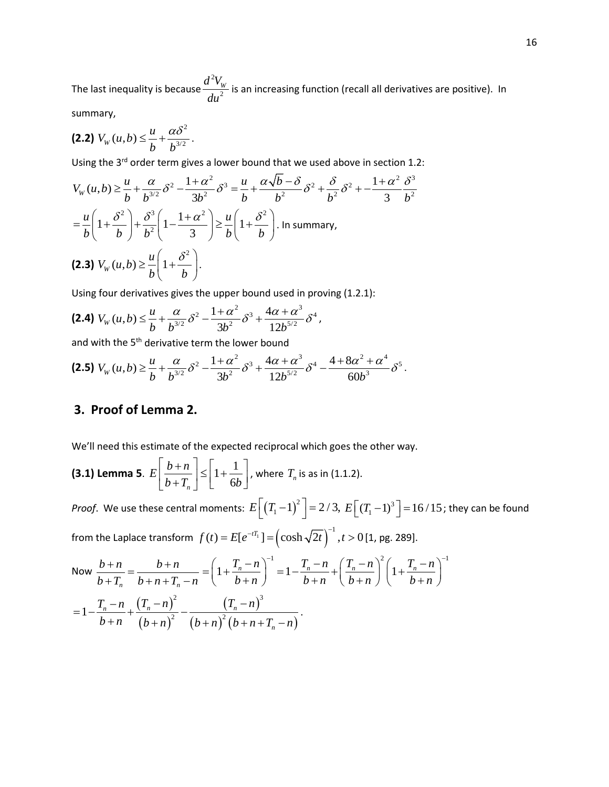The last inequality is because 2 2  $d^2V_w$  $\frac{d^2 + w}{du^2}$  is an increasing function (recall all derivatives are positive). In

summary,

$$
(2.2) V_w(u,b) \leq \frac{u}{b} + \frac{\alpha \delta^2}{b^{3/2}}.
$$

Using the 3<sup>rd</sup> order term gives a lower bound that we used above in section 1.2:

$$
V_W(u,b) \ge \frac{u}{b} + \frac{\alpha}{b^{3/2}} \delta^2 - \frac{1+\alpha^2}{3b^2} \delta^3 = \frac{u}{b} + \frac{\alpha\sqrt{b-\delta}}{b^2} \delta^2 + \frac{\delta}{b^2} \delta^2 + \frac{1+\alpha^2}{3} \frac{\delta^3}{b^2}
$$
  
=  $\frac{u}{b} \left( 1 + \frac{\delta^2}{b} \right) + \frac{\delta^3}{b^2} \left( 1 - \frac{1+\alpha^2}{3} \right) \ge \frac{u}{b} \left( 1 + \frac{\delta^2}{b} \right)$ . In summary,  
(2.3)  $V_W(u,b) \ge \frac{u}{b} \left( 1 + \frac{\delta^2}{b} \right)$ .

Using four derivatives gives the upper bound used in proving (1.2.1):

$$
(2.4) V_w(u,b) \leq \frac{u}{b} + \frac{\alpha}{b^{3/2}} \delta^2 - \frac{1+\alpha^2}{3b^2} \delta^3 + \frac{4\alpha + \alpha^3}{12b^{5/2}} \delta^4,
$$

and with the 5<sup>th</sup> derivative term the lower bound

 $\overline{a}$ 

$$
\textbf{(2.5)}\ V_W(u,b) \geq \frac{u}{b} + \frac{\alpha}{b^{3/2}}\delta^2 - \frac{1+\alpha^2}{3b^2}\delta^3 + \frac{4\alpha+\alpha^3}{12b^{5/2}}\delta^4 - \frac{4+8\alpha^2+\alpha^4}{60b^3}\delta^5.
$$

# **3. Proof of Lemma 2.**

We'll need this estimate of the expected reciprocal which goes the other way.

**(3.1) Lemma 5.** 
$$
E\left[\frac{b+n}{b+T_n}\right] \le \left[1+\frac{1}{6b}\right]
$$
, where  $T_n$  is as in (1.1.2).

*Proof.* We use these central moments:  $E\left[\left(T_1-1\right)^2\right]=2/3$ ,  $E\left[\left(T_1-1\right)^3\right]=16/15$ ; they can be found from the Laplace transform  $f(t) = E[e^{-tT_1}] = \left(\cosh \sqrt{2t}\right)^{-1}, t > 0$  [1, pg. 289].

Now 
$$
\frac{b+n}{b+T_n} = \frac{b+n}{b+n+T_n-n} = \left(1 + \frac{T_n - n}{b+n}\right)^{-1} = 1 - \frac{T_n - n}{b+n} + \left(\frac{T_n - n}{b+n}\right)^2 \left(1 + \frac{T_n - n}{b+n}\right)^{-1}
$$

$$
= 1 - \frac{T_n - n}{b+n} + \frac{(T_n - n)^2}{(b+n)^2} - \frac{(T_n - n)^3}{(b+n)^2 (b+n+T_n - n)}.
$$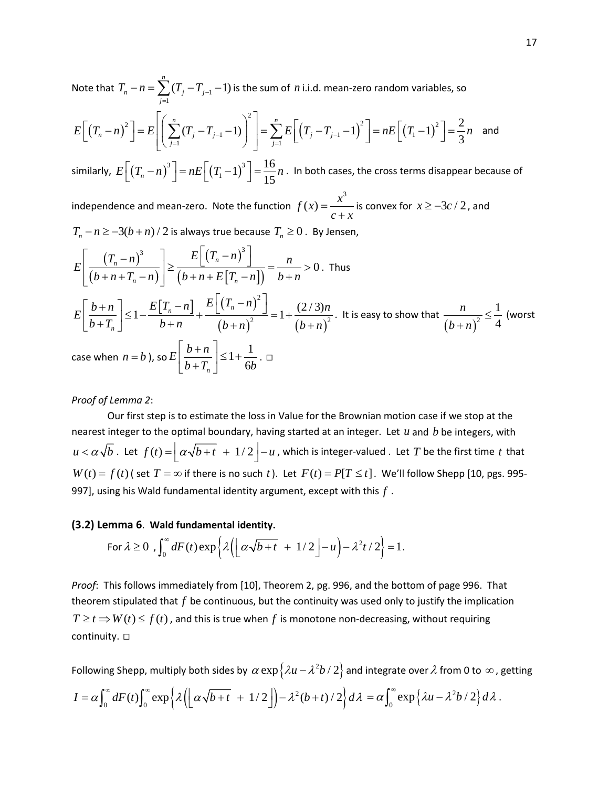Note that  $\, T_{_{n}} - n = \sum (T_{_{j}} - T_{_{j-1}})$ 1  $(T_i - T_{i-1} - 1)$ *n*  $n - \sum_{j}$  *j*  $j$ *j*  $T_n - n = \sum (T_j - T_{j-1})$  $-n = \sum_{j=1} (T_j - T_{j-1} - 1)$  is the sum of *n* i.i.d. mean-zero random variables, so  $(T_n - n)^2$  | =  $E$ ||  $\sum (T_i - T_{i-1} - 1)$  | | =  $\sum E$ | $(T_i - T_{i-1} - 1)^2$  | =  $nE$ | $(T_1 - 1)$ 2 2  $\frac{1}{2}$   $\frac{1}{2}$   $\frac{1}{2}$   $\frac{1}{2}$   $\frac{1}{2}$   $\frac{1}{2}$   $\frac{1}{2}$   $\frac{1}{2}$   $\frac{1}{2}$   $\frac{1}{2}$   $\frac{1}{2}$   $\frac{1}{2}$   $\frac{1}{2}$   $\frac{1}{2}$   $\frac{1}{2}$   $\frac{1}{2}$   $\frac{1}{2}$   $\frac{1}{2}$   $\frac{1}{2}$   $\frac{1}{2}$   $\frac{1}{2}$   $\frac{1}{2}$  $1 \quad 1 \quad | \quad | \quad \angle \quad L \mid \left( I_j \quad I_{j-1} \quad 1 \right) \quad | \quad - n L \mid \left( I_1 \right)$  $1 \t\t j=1$  $(T_i - T_{i-1} - 1)$  =  $\sum_{i=1}^{n} E[(T_i - T_{i-1} - 1)^2] = nE[(T_i - 1)^2] = \frac{2}{3}$ 3 *n n n*  $\binom{n}{j}$   $\binom{n-1}{j}$   $\binom{n}{j}$   $\binom{n}{j-1}$   $\binom{n}{j}$   $\binom{n-1}{j}$   $\binom{n}{j}$ *j* =1  $\qquad$  *J* | *j*  $E\left[\left(T_n - n\right)^2 \middle| = E\right] \left[\sum_{j} (T_j - T_{j-1} - 1)\right] \left[\right.$   $\left.\left.\right| = \sum_{j} E\right] \left(T_j - T_{j-1} - 1\right)^2 \left.\right| = nE\left[\left(T_1 - 1\right)^2 \middle| = \frac{2}{3}n\right]$  $\left[ (T_n - n)^2 \right] = E \left[ \left( \sum_{j=1}^n (T_j - T_{j-1} - 1) \right)^2 \right] = \sum_{j=1}^n E \left[ \left( T_j - T_{j-1} - 1 \right)^2 \right] = nE \left[ \left( T_1 - 1 \right)^2 \right] =$  $\sum\limits_{j} (T_j - T_{j-1} - 1)$   $\Big|$   $\Big| = \sum\limits_{j} E \Big| \left(T_j - T_{j-1} - 1\right)^2 \Big| = nE \Big| \left(T_1 - 1\right)^2 \Big| = \frac{2}{3}n$  and similarly,  $E\left[\left(T_n-n\right)^3\right] = nE\left[\left(T_1-1\right)^3\right] = \frac{16}{15}$  $E\Big[\big(T_n - n\big)^3\Big] = nE\Big[\big(T_1 - 1\big)^3\Big] = \frac{16}{15}n$  . In both cases, the cross terms disappear because of

independence and mean-zero. Note the function  $f(x) = \frac{x^3}{c+x}$  is convex for  $x \ge -3c/2$ , and

 $T_n - n \ge -3(b+n)/2$  is always true because  $T_n \ge 0$ . By Jensen,

$$
E\left[\frac{\left(T_n - n\right)^3}{\left(b + n + T_n - n\right)}\right] \ge \frac{E\left[\left(T_n - n\right)^3\right]}{\left(b + n + E\left[T_n - n\right]\right)} = \frac{n}{b + n} > 0. \text{ Thus}
$$
\n
$$
E\left[\frac{b + n}{b + T_n}\right] \le 1 - \frac{E\left[T_n - n\right]}{b + n} + \frac{E\left[\left(T_n - n\right)^2\right]}{\left(b + n\right)^2} = 1 + \frac{(2/3)n}{\left(b + n\right)^2}. \text{ It is easy to show that } \frac{n}{\left(b + n\right)^2} \le \frac{1}{4} \text{ (worst}
$$
\n
$$
\text{case when } n = b \text{), so } E\left[\frac{b + n}{b + T_n}\right] \le 1 + \frac{1}{6b}. \square
$$

### *Proof of Lemma 2*:

Our first step is to estimate the loss in Value for the Brownian motion case if we stop at the nearest integer to the optimal boundary, having started at an integer. Let *u* and *b* be integers, with  $u < \alpha \sqrt{b}$ . Let  $f(t) = \left| \alpha \sqrt{b+t} + 1/2 \right| - u$ , which is integer-valued . Let *T* be the first time *t* that  $W(t) = f(t)$  (set  $T = \infty$  if there is no such t). Let  $F(t) = P[T \le t]$ . We'll follow Shepp [10, pgs. 995-997], using his Wald fundamental identity argument, except with this *f* .

#### **(3.2) Lemma 6**. **Wald fundamental identity.**

For 
$$
\lambda \ge 0
$$
,  $\int_0^\infty dF(t) \exp\left\{\lambda \left( \left[ \alpha \sqrt{b+t} + 1/2 \right] - u \right) - \lambda^2 t/2 \right\} = 1.$ 

*Proof*: This follows immediately from [10], Theorem 2, pg. 996, and the bottom of page 996. That theorem stipulated that *f* be continuous, but the continuity was used only to justify the implication  $T \ge t \Rightarrow W(t) \le f(t)$ , and this is true when f is monotone non-decreasing, without requiring continuity.  $\square$ 

Following Shepp, multiply both sides by  $\alpha \exp \left\{\lambda u - \lambda^2 b/2 \right\}$  and integrate over  $\lambda$  from 0 to  $\infty$ , getting  $I = \alpha \int_0^{\infty} dF(t) \int_0^{\infty} \exp \left\{ \lambda \left( \left[ \alpha \sqrt{b+t} + 1/2 \right] \right) - \lambda^2 (b+t) /2 \right\} d\lambda = \alpha \int_0^{\infty} \exp \left\{ \lambda u - \lambda^2 b /2 \right\} d\lambda.$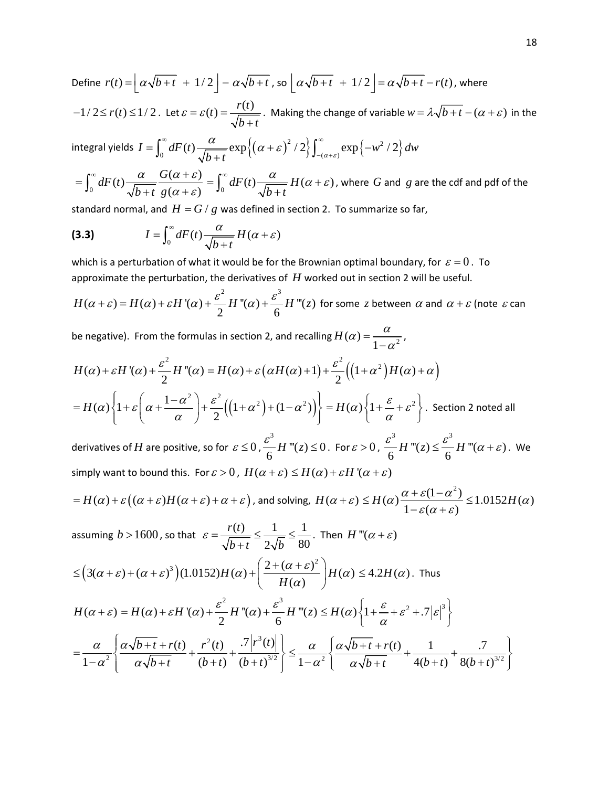Define  $r(t) = \left| \alpha \sqrt{b+t} + 1/2 \right| - \alpha \sqrt{b+t}$ , so  $\left| \alpha \sqrt{b+t} + 1/2 \right| = \alpha \sqrt{b+t} - r(t)$ , where  $-1/2 \le r(t) \le 1/2$ . Let  $\varepsilon = \varepsilon(t) = \frac{r(t)}{\sqrt{t}}$  $\varepsilon = \varepsilon(t) = \frac{f(t)}{\sqrt{b+t}}$ . Making the change of variable  $w = \lambda \sqrt{b+t} - (\alpha + \varepsilon)$  in the

integral yields  $I=\int_0^\infty dF(t) \frac{\alpha}{\sqrt{h+t}} \exp\Bigl\{\bigl(\alpha+\varepsilon\bigr)^2/2\bigr\} \int_{-(\alpha+\varepsilon)}^\infty \exp\Bigl\{-w^2/2\bigr\} \, dw$  $b+t$ <sup>1</sup> (1)  $\int_{-\alpha+\varepsilon}$  $=\int_0^{\infty} dF(t) \frac{\alpha}{\sqrt{b+t}} \exp\left\{(\alpha+\varepsilon)^2/2\right\} \int_{-(\alpha+\varepsilon)}^{\infty} \exp\left\{-\varepsilon\right\}$ 

 $\int_0^{\infty} dF(t) \frac{\alpha}{\sqrt{b+t}} \frac{G(\alpha+\varepsilon)}{g(\alpha+\varepsilon)}$ *b t g*  $\alpha$   $G(\alpha + \varepsilon)$  $=\int_0^\infty dF(t) \frac{\alpha}{\sqrt{b+t}} \frac{G(\alpha+\varepsilon)}{g(\alpha+\varepsilon)} = \int_0^\infty$  $dF(t) \frac{\alpha}{\sqrt{t}} H(\alpha + \varepsilon)$ *b t*  $=\int_0^\infty dF(t) \frac{\alpha}{\sqrt{b+t}} H(\alpha+\varepsilon)$ , where *G* and *g* are the cdf and pdf of the

standard normal, and  $H = G/g$  was defined in section 2. To summarize so far,

$$
(3.3) \tI = \int_0^\infty dF(t) \frac{\alpha}{\sqrt{b+t}} H(\alpha + \varepsilon)
$$

which is a perturbation of what it would be for the Brownian optimal boundary, for  $\varepsilon = 0$ . To approximate the perturbation, the derivatives of *H* worked out in section 2 will be useful.

$$
H(\alpha + \varepsilon) = H(\alpha) + \varepsilon H'(\alpha) + \frac{\varepsilon^2}{2} H''(\alpha) + \frac{\varepsilon^3}{6} H'''(z) \text{ for some } z \text{ between } \alpha \text{ and } \alpha + \varepsilon \text{ (note } \varepsilon \text{ can}
$$

be negative). From the formulas in section 2, and recalling  $H(\alpha) = \frac{\alpha}{1-\alpha^2}$ ,

$$
H(\alpha) + \varepsilon H'(\alpha) + \frac{\varepsilon^2}{2} H''(\alpha) = H(\alpha) + \varepsilon (\alpha H(\alpha) + 1) + \frac{\varepsilon^2}{2} \Big( \Big( 1 + \alpha^2 \Big) H(\alpha) + \alpha \Big)
$$
  
=  $H(\alpha) \Big\{ 1 + \varepsilon \Big( \alpha + \frac{1 - \alpha^2}{\alpha} \Big) + \frac{\varepsilon^2}{2} \Big( \Big( 1 + \alpha^2 \Big) + (1 - \alpha^2) \Big) \Big\} = H(\alpha) \Big\{ 1 + \frac{\varepsilon}{\alpha} + \varepsilon^2 \Big\}.$  Section 2 noted all

derivatives of  $H$  are positive, so for  $\varepsilon \leq 0$  , 3  $\frac{\varepsilon^3}{6}$  *H* "'(*z*)  $\leq$  0. For  $\varepsilon$   $>$  0,  $\frac{\varepsilon^3}{6}$  *H* "'(*z*)  $\leq$   $\frac{\varepsilon^3}{6}$  $\frac{\varepsilon^2}{6}$  *H* "'(*z*)  $\leq \frac{\varepsilon^2}{6}$  *H* "'(*a* +  $\varepsilon$ ). We simply want to bound this. For  $\varepsilon > 0$ ,  $H(\alpha + \varepsilon) \leq H(\alpha) + \varepsilon H'(\alpha + \varepsilon)$ 

$$
=H(\alpha)+\varepsilon((\alpha+\varepsilon)H(\alpha+\varepsilon)+\alpha+\varepsilon), \text{ and solving, } H(\alpha+\varepsilon)\leq H(\alpha)\frac{\alpha+\varepsilon(1-\alpha^2)}{1-\varepsilon(\alpha+\varepsilon)}\leq 1.0152H(\alpha)
$$

assuming  $b > 1600$ , so that  $\varepsilon = \frac{r(t)}{\sqrt{1 - \frac{t^2}{c^2}}} \leq \frac{1}{\sqrt{1 - \frac{t^2}{c^2}}}$  $2\sqrt{b}$  80 *r t*  $b+t$  2 $\sqrt{b}$  $\varepsilon = \frac{I(t)}{\sqrt{2\pi}} \leq \frac{1}{\sqrt{2\pi}} \leq$ + . Then  $H'''(\alpha + \varepsilon)$ 

$$
\leq \left(3(\alpha+\varepsilon)+(\alpha+\varepsilon)^3\right)(1.0152)H(\alpha)+\left(\frac{2+(\alpha+\varepsilon)^2}{H(\alpha)}\right)H(\alpha)\leq 4.2H(\alpha).
$$
 Thus

$$
H(\alpha + \varepsilon) = H(\alpha) + \varepsilon H'(\alpha) + \frac{\varepsilon^2}{2} H''(\alpha) + \frac{\varepsilon^3}{6} H'''(z) \le H(\alpha) \left\{ 1 + \frac{\varepsilon}{\alpha} + \varepsilon^2 + .7 |\varepsilon|^3 \right\}
$$
  
=  $\frac{\alpha}{1 - \alpha^2} \left\{ \frac{\alpha \sqrt{b + t} + r(t)}{\alpha \sqrt{b + t}} + \frac{r^2(t)}{(b + t)} + \frac{.7 |r^3(t)|}{(b + t)^{3/2}} \right\} \le \frac{\alpha}{1 - \alpha^2} \left\{ \frac{\alpha \sqrt{b + t} + r(t)}{\alpha \sqrt{b + t}} + \frac{1}{4(b + t)} + \frac{.7}{8(b + t)^{3/2}} \right\}$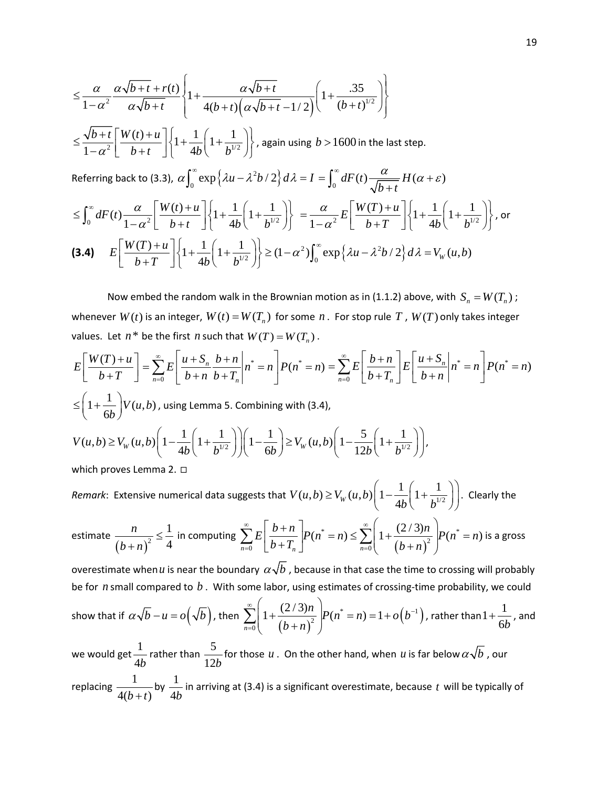$$
\leq \frac{\alpha}{1-\alpha^2} \frac{\alpha \sqrt{b+t} + r(t)}{\alpha \sqrt{b+t}} \left\{ 1 + \frac{\alpha \sqrt{b+t}}{4(b+t) \left(\alpha \sqrt{b+t} - 1/2\right)} \left( 1 + \frac{.35}{(b+t)^{1/2}} \right) \right\}
$$
\n
$$
\leq \frac{\sqrt{b+t}}{1-\alpha^2} \left[ \frac{W(t) + u}{b+t} \right] \left\{ 1 + \frac{1}{4b} \left( 1 + \frac{1}{b^{1/2}} \right) \right\}, \text{ again using } b > 1600 \text{ in the last step.}
$$
\nReferring back to (3.3),  $\alpha \int_0^\infty \exp\left\{ \lambda u - \lambda^2 b / 2 \right\} d\lambda = I = \int_0^\infty dF(t) \frac{\alpha}{\sqrt{b+t}} H(\alpha + \varepsilon)$ \n
$$
\leq \int_0^\infty dF(t) \frac{\alpha}{1-\alpha^2} \left[ \frac{W(t) + u}{b+t} \right] \left\{ 1 + \frac{1}{4b} \left( 1 + \frac{1}{b^{1/2}} \right) \right\} = \frac{\alpha}{1-\alpha^2} E \left[ \frac{W(T) + u}{b+T} \right] \left\{ 1 + \frac{1}{4b} \left( 1 + \frac{1}{b^{1/2}} \right) \right\}, \text{ or}
$$
\n
$$
\text{(3.4)} \quad E \left[ \frac{W(T) + u}{b+T} \right] \left\{ 1 + \frac{1}{4b} \left( 1 + \frac{1}{b^{1/2}} \right) \right\} \geq (1-\alpha^2) \int_0^\infty \exp\left\{ \lambda u - \lambda^2 b / 2 \right\} d\lambda = V_w(u, b)
$$

Now embed the random walk in the Brownian motion as in (1.1.2) above, with  $S_n = W(T_n)$ ; whenever  $W(t)$  is an integer,  $W(t) = W(T_n)$  for some  $n$ . For stop rule  $T$ ,  $W(T)$  only takes integer values. Let  $n^*$  be the first *n* such that  $W(T) = W(T_n)$ .

$$
E\left[\frac{W(T) + u}{b + T}\right] = \sum_{n=0}^{\infty} E\left[\frac{u + S_n}{b + n} \frac{b + n}{b + T_n} \middle| n^* = n\right] P(n^* = n) = \sum_{n=0}^{\infty} E\left[\frac{b + n}{b + T_n}\right] E\left[\frac{u + S_n}{b + n} \middle| n^* = n\right] P(n^* = n)
$$
  
\n
$$
\leq \left(1 + \frac{1}{6b}\right) V(u, b), \text{ using Lemma 5. Combining with (3.4),}
$$
  
\n
$$
V(u, b) \geq V_W(u, b) \left(1 - \frac{1}{4b}\left(1 + \frac{1}{b^{1/2}}\right)\right) \left(1 - \frac{1}{6b}\right) \geq V_W(u, b) \left(1 - \frac{5}{12b}\left(1 + \frac{1}{b^{1/2}}\right)\right),
$$
  
\nwhich proves Lemma 2.  $\square$   
\nRemark: Extensive numerical data suggests that  $V(u, b) \geq V_W(u, b) \left(1 - \frac{1}{4b}\left(1 + \frac{1}{b^{1/2}}\right)\right)$ . Clearly the

estimate 
$$
\frac{n}{(b+n)^2} \leq \frac{1}{4}
$$
 in computing 
$$
\sum_{n=0}^{\infty} E\left[\frac{b+n}{b+T_n}\right] P(n^* = n) \leq \sum_{n=0}^{\infty} \left(1 + \frac{(2/3)n}{(b+n)^2}\right) P(n^* = n)
$$
 is a gross

overestimate when *u* is near the boundary  $\alpha\sqrt{b}$  , because in that case the time to crossing will probably be for *n* small compared to *b* . With some labor, using estimates of crossing-time probability, we could

show that if 
$$
\alpha \sqrt{b} - u = o(\sqrt{b})
$$
, then 
$$
\sum_{n=0}^{\infty} \left( 1 + \frac{(2/3)n}{(b+n)^2} \right) P(n^* = n) = 1 + o(b^{-1})
$$
, rather than  $1 + \frac{1}{6b}$ , and

we would get  $\frac{1}{11}$ 4*b* rather than  $\frac{5}{12}$ 12*b* for those  $u$  . On the other hand, when  $u$  is far below  $\alpha\surd b$  , our replacing  $\frac{1}{\sqrt{1}}$  $4(b + t)$ by  $\frac{1}{\cdot}$ 4*b* in arriving at (3.4) is a significant overestimate, because *t* will be typically of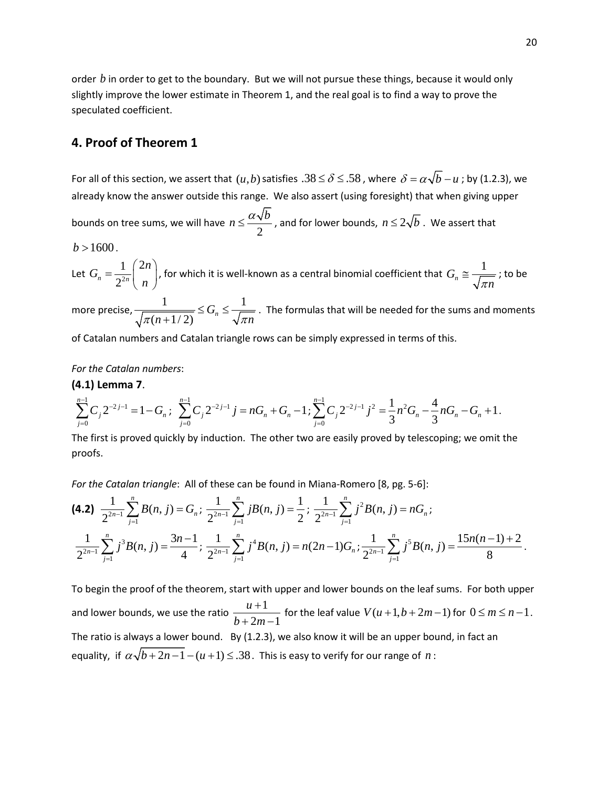order *b* in order to get to the boundary. But we will not pursue these things, because it would only slightly improve the lower estimate in Theorem 1, and the real goal is to find a way to prove the speculated coefficient.

## **4. Proof of Theorem 1**

For all of this section, we assert that  $(u,b)$  satisfies  $.38 \le \delta \le .58$  , where  $\delta = \alpha \sqrt{b} - u$ ; by (1.2.3), we already know the answer outside this range. We also assert (using foresight) that when giving upper bounds on tree sums, we will have  $n \leq \frac{2\alpha}{2}$  $n \leq \frac{\alpha \sqrt{b}}{2}$ , and for lower bounds,  $n \leq 2\sqrt{b}$  . We assert that

 $b > 1600$ .

Let 
$$
G_n = \frac{1}{2^{2n}} {2n \choose n}
$$
, for which it is well-known as a central binomial coefficient that  $G_n \approx \frac{1}{\sqrt{\pi n}}$ ; to be

more precise,  $\frac{1}{\sqrt{1-\frac{1}{\sqrt{1-\frac{1}{\sqrt{1-\frac{1}{\sqrt{1-\frac{1}{\sqrt{1-\frac{1}{\sqrt{1-\frac{1}{\sqrt{1-\frac{1}{\sqrt{1-\frac{1}{\sqrt{1-\frac{1}{\sqrt{1-\frac{1}{\sqrt{1-\frac{1}{\sqrt{1-\frac{1}{\sqrt{1-\frac{1}{\sqrt{1-\frac{1}{\sqrt{1-\frac{1}{\sqrt{1-\frac{1}{\sqrt{1-\frac{1}{\sqrt{1-\frac{1}{\sqrt{1-\frac{1}{\sqrt{1-\frac{1}{\sqrt{1-\frac{1}{\sqrt{1-\frac{1}{\sqrt{$  $(n+1/2)$ *Gn*  $\pi(n+1/2)$   $\pi n$  $\frac{1}{1+1/2} \le G_n \le \frac{1}{\sqrt{\pi n}}$ . The formulas that will be needed for the sums and moments

of Catalan numbers and Catalan triangle rows can be simply expressed in terms of this.

#### *For the Catalan numbers*:

#### **(4.1) Lemma 7**.

$$
\sum_{j=0}^{n-1} C_j 2^{-2j-1} = 1 - G_n ; \sum_{j=0}^{n-1} C_j 2^{-2j-1} j = nG_n + G_n - 1; \sum_{j=0}^{n-1} C_j 2^{-2j-1} j^2 = \frac{1}{3} n^2 G_n - \frac{4}{3} nG_n - G_n + 1.
$$

The first is proved quickly by induction. The other two are easily proved by telescoping; we omit the proofs.

*For the Catalan triangle*: All of these can be found in Miana-Romero [8, pg. 5-6]:

$$
\begin{aligned}\n\textbf{(4.2)} \quad & \frac{1}{2^{2n-1}} \sum_{j=1}^{n} B(n,j) = G_n; \ \frac{1}{2^{2n-1}} \sum_{j=1}^{n} jB(n,j) = \frac{1}{2}; \ \frac{1}{2^{2n-1}} \sum_{j=1}^{n} j^2 B(n,j) = nG_n; \\
& \frac{1}{2^{2n-1}} \sum_{j=1}^{n} j^3 B(n,j) = \frac{3n-1}{4}; \ \frac{1}{2^{2n-1}} \sum_{j=1}^{n} j^4 B(n,j) = n(2n-1)G_n; \frac{1}{2^{2n-1}} \sum_{j=1}^{n} j^5 B(n,j) = \frac{15n(n-1)+2}{8}.\n\end{aligned}
$$

To begin the proof of the theorem, start with upper and lower bounds on the leaf sums. For both upper and lower bounds, we use the ratio  $\frac{u+1}{u}$  $2m-1$ *u b m* +  $+ 2m$ for the leaf value  $V(u + 1, b + 2m - 1)$  for  $0 \le m \le n - 1$ . The ratio is always a lower bound. By (1.2.3), we also know it will be an upper bound, in fact an equality, if  $\alpha \sqrt{b+2n-1} - (u+1) \leq 0.38$ . This is easy to verify for our range of *n* :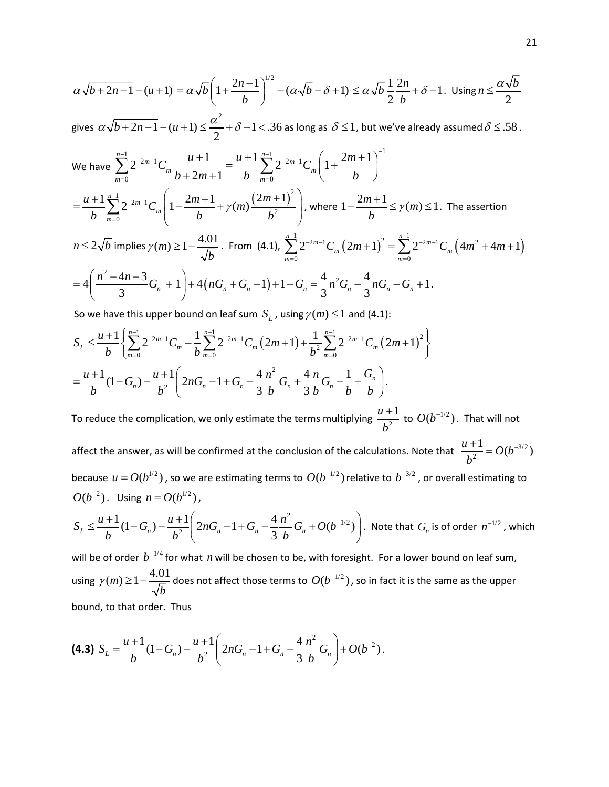$$
\alpha\sqrt{b+2n-1} - (u+1) = \alpha\sqrt{b} \left(1 + \frac{2n-1}{b}\right)^{1/2} - (\alpha\sqrt{b} - \delta + 1) \le \alpha\sqrt{b} \frac{1}{2} \frac{2n}{b} + \delta - 1. \text{ Using } n \le \frac{\alpha\sqrt{b}}{2}
$$

gives  $\alpha\sqrt{b+2n-1}$  –  $(u+1)$   $\leq$   $\frac{\alpha^{2}}{2}$  +  $\delta$  –1 < .36 as long as  $\delta$   $\leq$  1, but we've already assumed  $\delta$   $\leq$  .58.

We have 
$$
\sum_{m=0}^{n-1} 2^{-2m-1} C_m \frac{u+1}{b+2m+1} = \frac{u+1}{b} \sum_{m=0}^{n-1} 2^{-2m-1} C_m \left( 1 + \frac{2m+1}{b} \right)^{-1}
$$
  
\n
$$
= \frac{u+1}{b} \sum_{m=0}^{n-1} 2^{-2m-1} C_m \left( 1 - \frac{2m+1}{b} + \gamma(m) \frac{(2m+1)^2}{b^2} \right), \text{ where } 1 - \frac{2m+1}{b} \le \gamma(m) \le 1. \text{ The assertion}
$$
  
\n $n \le 2\sqrt{b} \text{ implies } \gamma(m) \ge 1 - \frac{4.01}{\sqrt{b}}. \text{ From (4.1), } \sum_{m=0}^{n-1} 2^{-2m-1} C_m (2m+1)^2 = \sum_{m=0}^{n-1} 2^{-2m-1} C_m \left( 4m^2 + 4m + 1 \right)$   
\n
$$
= 4 \left( \frac{n^2 - 4n - 3}{3} G_n + 1 \right) + 4 \left( nG_n + G_n - 1 \right) + 1 - G_n = \frac{4}{3} n^2 G_n - \frac{4}{3} nG_n - G_n + 1.
$$

So we have this upper bound on leaf sum  $S_L$ , using  $\gamma(m) \leq 1$  and (4.1):

$$
S_L \leq \frac{u+1}{b} \left\{ \sum_{m=0}^{n-1} 2^{-2m-1} C_m - \frac{1}{b} \sum_{m=0}^{n-1} 2^{-2m-1} C_m (2m+1) + \frac{1}{b^2} \sum_{m=0}^{n-1} 2^{-2m-1} C_m (2m+1)^2 \right\}
$$
  
= 
$$
\frac{u+1}{b} (1 - G_n) - \frac{u+1}{b^2} \left( 2nG_n - 1 + G_n - \frac{4}{3} \frac{n^2}{b} G_n + \frac{4}{3} \frac{n}{b} G_n - \frac{1}{b} + \frac{G_n}{b} \right).
$$

To reduce the complication, we only estimate the terms multiplying  $\frac{n-1}{h^2}$  $u + 1$ *b*  $\frac{+1}{2}$  to  $O(b^{-1/2})$ . That will not

affect the answer, as will be confirmed at the conclusion of the calculations. Note that  $\frac{u+1}{h^2} = O(b^{-3/2})$ *b*  $\frac{+1}{2} = O(b^{-1})$ because  $u = O(b^{1/2})$ , so we are estimating terms to  $O(b^{-1/2})$  relative to  $b^{-3/2}$ , or overall estimating to  $O(b^{-2})$ . Using  $n = O(b^{1/2})$ ,

$$
S_L \leq \frac{u+1}{b} (1-G_n) - \frac{u+1}{b^2} \left( 2nG_n - 1 + G_n - \frac{4}{3} \frac{n^2}{b} G_n + O(b^{-1/2}) \right).
$$
 Note that  $G_n$  is of order  $n^{-1/2}$ , which

will be of order  $b^{-1/4}$  for what *n* will be chosen to be, with foresight. For a lower bound on leaf sum, using  $\gamma(m) \geq 1 - \frac{4.01}{\sqrt{b}}$  does not affect those terms to  $O(b^{-1/2})$ , so in fact it is the same as the upper bound, to that order. Thus

$$
\textbf{(4.3)}\ \ S_L = \frac{u+1}{b}(1-G_n) - \frac{u+1}{b^2}\left(2nG_n - 1 + G_n - \frac{4}{3}\frac{n^2}{b}G_n\right) + O(b^{-2}).
$$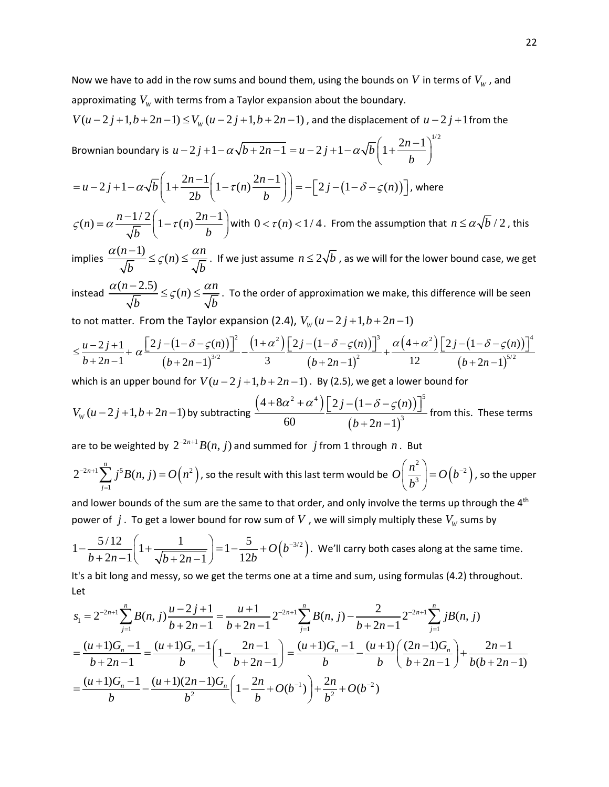$$
V(u-2j+1,b+2n-1) \le V_w(u-2j+1,b+2n-1)
$$
, and the displacement of  $u-2j+1$  from the  
Brownian boundary is  $u-2j+1-\alpha\sqrt{b+2n-1} = u-2j+1-\alpha\sqrt{b}\left(1+\frac{2n-1}{b}\right)^{1/2}$   

$$
= u-2j+1-\alpha\sqrt{b}\left(1+\frac{2n-1}{2b}\left(1-\tau(n)\frac{2n-1}{b}\right)\right) = -\left[2j-\left(1-\delta-\varsigma(n)\right)\right]
$$
, where  

$$
\varsigma(n) = \alpha \frac{n-1/2}{\sqrt{b}} \left(1-\tau(n)\frac{2n-1}{b}\right)
$$
 with  $0 < \tau(n) < 1/4$ . From the assumption that  $n \le \alpha\sqrt{b}/2$ , this

implies  $\frac{\alpha(n-1)}{\sqrt{n}} \leq \zeta(n) \leq \frac{\alpha n}{\sqrt{n}}$ *b*  $\sqrt{b}$  $\frac{\alpha(n-1)}{\sqrt{n}} \leq \zeta(n) \leq \frac{\alpha n}{\sqrt{n}}$ . If we just assume  $n \leq 2\sqrt{b}$  , as we will for the lower bound case, we get

instead  $\frac{\alpha(n-2.5)}{\sqrt{n}} \leq \zeta(n) \leq \frac{\alpha n}{\sqrt{n}}$ *b b*  $\frac{\alpha(n-2.5)}{\sqrt{n}} \leq \zeta(n) \leq \frac{\alpha n}{\sqrt{n}}$ . To the order of approximation we make, this difference will be seen

to not matter. From the Taylor expansion (2.4),  $V_w(u-2j+1,b+2n-1)$ 

$$
\leq \frac{u-2j+1}{b+2n-1} + \alpha \frac{\left[2j - (1-\delta-\varsigma(n))\right]^2}{(b+2n-1)^{3/2}} - \frac{(1+\alpha^2)\left[2j - (1-\delta-\varsigma(n))\right]^3}{3} + \frac{\alpha(4+\alpha^2)\left[2j - (1-\delta-\varsigma(n))\right]^4}{12}
$$

which is an upper bound for  $V(u-2j+1,b+2n-1)$ . By (2.5), we get a lower bound for

$$
V_{W}(u-2j+1,b+2n-1)
$$
 by subtracting 
$$
\frac{\left(4+8\alpha^{2}+\alpha^{4}\right)\left[2j-\left(1-\delta-\varsigma(n)\right)\right]^{5}}{60}
$$
 from this. These terms

are to be weighted by  $2^{-2n+1}B(n, j)$  and summed for *j* from 1 through *n*. But

$$
2^{-2n+1}\sum_{j=1}^{n} j^{5}B(n, j) = O\left(n^{2}\right)
$$
, so the result with this last term would be  $O\left(\frac{n^{2}}{b^{3}}\right) = O\left(b^{-2}\right)$ , so the upper

and lower bounds of the sum are the same to that order, and only involve the terms up through the 4<sup>th</sup> power of  $j$  . To get a lower bound for row sum of  $V$  , we will simply multiply these  $V_W$  sums by

$$
1 - \frac{5/12}{b+2n-1} \left( 1 + \frac{1}{\sqrt{b+2n-1}} \right) = 1 - \frac{5}{12b} + O\left(b^{-3/2}\right).
$$
 We'll carry both cases along at the same time.

It's a bit long and messy, so we get the terms one at a time and sum, using formulas (4.2) throughout. Let

$$
s_1 = 2^{-2n+1} \sum_{j=1}^n B(n, j) \frac{u-2j+1}{b+2n-1} = \frac{u+1}{b+2n-1} 2^{-2n+1} \sum_{j=1}^n B(n, j) - \frac{2}{b+2n-1} 2^{-2n+1} \sum_{j=1}^n jB(n, j)
$$
  
= 
$$
\frac{(u+1)G_n - 1}{b+2n-1} = \frac{(u+1)G_n - 1}{b} \left( 1 - \frac{2n-1}{b+2n-1} \right) = \frac{(u+1)G_n - 1}{b} - \frac{(u+1)G_n - 1}{b} \left( \frac{(2n-1)G_n}{b+2n-1} \right) + \frac{2n-1}{b(b+2n-1)}
$$
  
= 
$$
\frac{(u+1)G_n - 1}{b} - \frac{(u+1)(2n-1)G_n}{b^2} \left( 1 - \frac{2n}{b} + O(b^{-1}) \right) + \frac{2n}{b^2} + O(b^{-2})
$$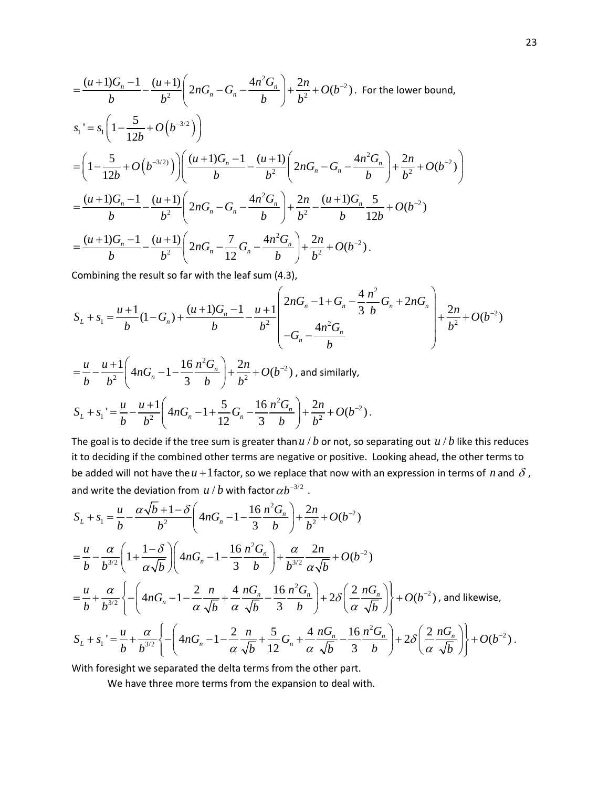$$
\begin{split}\n&= \frac{(u+1)G_n - 1}{b} - \frac{(u+1)}{b^2} \left( 2nG_n - G_n - \frac{4n^2 G_n}{b} \right) + \frac{2n}{b^2} + O(b^{-2}). \text{ For the lower bound,} \\
s_1 \text{'} = s_1 \left( 1 - \frac{5}{12b} + O(b^{-3/2}) \right) \\
&= \left( 1 - \frac{5}{12b} + O(b^{-3/2}) \right) \left( \frac{(u+1)G_n - 1}{b} - \frac{(u+1)}{b^2} \left( 2nG_n - G_n - \frac{4n^2 G_n}{b} \right) + \frac{2n}{b^2} + O(b^{-2}) \right) \\
&= \frac{(u+1)G_n - 1}{b} - \frac{(u+1)}{b^2} \left( 2nG_n - G_n - \frac{4n^2 G_n}{b} \right) + \frac{2n}{b^2} - \frac{(u+1)G_n}{b} \frac{5}{12b} + O(b^{-2}) \\
&= \frac{(u+1)G_n - 1}{b} - \frac{(u+1)}{b^2} \left( 2nG_n - \frac{7}{12}G_n - \frac{4n^2 G_n}{b} \right) + \frac{2n}{b^2} + O(b^{-2}).\n\end{split}
$$

Combining the result so far with the leaf sum (4.3),

$$
S_L + s_1 = \frac{u+1}{b}(1-G_n) + \frac{(u+1)G_n - 1}{b} - \frac{u+1}{b^2} \left( \frac{2nG_n - 1 + G_n - \frac{4n^2}{3b}G_n + 2nG_n}{-G_n - \frac{4n^2G_n}{b}} \right) + \frac{2n}{b^2} + O(b^{-2})
$$

$$
= \frac{u}{b} - \frac{u+1}{b^2} \left( 4nG_n - 1 - \frac{16}{3} \frac{n^2 G_n}{b} \right) + \frac{2n}{b^2} + O(b^{-2}) \text{, and similarly,}
$$
  

$$
S_L + s_1 = \frac{u}{b} - \frac{u+1}{b^2} \left( 4nG_n - 1 + \frac{5}{12} G_n - \frac{16}{3} \frac{n^2 G_n}{b} \right) + \frac{2n}{b^2} + O(b^{-2}).
$$

The goal is to decide if the tree sum is greater than  $u/b$  or not, so separating out  $u/b$  like this reduces it to deciding if the combined other terms are negative or positive. Looking ahead, the other terms to be added will not have the  $u + 1$  factor, so we replace that now with an expression in terms of *n* and  $\delta$ , and write the deviation from  $u/b$  with factor  $\alpha b^{-3/2}$  .

$$
S_{L} + s_{1} = \frac{u}{b} - \frac{\alpha \sqrt{b} + 1 - \delta}{b^{2}} \left( 4nG_{n} - 1 - \frac{16}{3} \frac{n^{2} G_{n}}{b} \right) + \frac{2n}{b^{2}} + O(b^{-2})
$$
  
\n
$$
= \frac{u}{b} - \frac{\alpha}{b^{3/2}} \left( 1 + \frac{1 - \delta}{\alpha \sqrt{b}} \right) \left( 4nG_{n} - 1 - \frac{16}{3} \frac{n^{2} G_{n}}{b} \right) + \frac{\alpha}{b^{3/2}} \frac{2n}{\alpha \sqrt{b}} + O(b^{-2})
$$
  
\n
$$
= \frac{u}{b} + \frac{\alpha}{b^{3/2}} \left\{ - \left( 4nG_{n} - 1 - \frac{2}{\alpha} \frac{n}{\sqrt{b}} + \frac{4}{\alpha} \frac{nG_{n}}{\sqrt{b}} - \frac{16}{3} \frac{n^{2} G_{n}}{b} \right) + 2\delta \left( \frac{2}{\alpha} \frac{nG_{n}}{\sqrt{b}} \right) \right\} + O(b^{-2}), \text{ and likewise,}
$$
  
\n
$$
S_{L} + s_{1} = \frac{u}{b} + \frac{\alpha}{b^{3/2}} \left\{ - \left( 4nG_{n} - 1 - \frac{2}{\alpha} \frac{n}{\sqrt{b}} + \frac{5}{12} G_{n} + \frac{4}{\alpha} \frac{nG_{n}}{\sqrt{b}} - \frac{16}{3} \frac{n^{2} G_{n}}{b} \right) + 2\delta \left( \frac{2}{\alpha} \frac{nG_{n}}{\sqrt{b}} \right) \right\} + O(b^{-2}).
$$

With foresight we separated the delta terms from the other part.

We have three more terms from the expansion to deal with.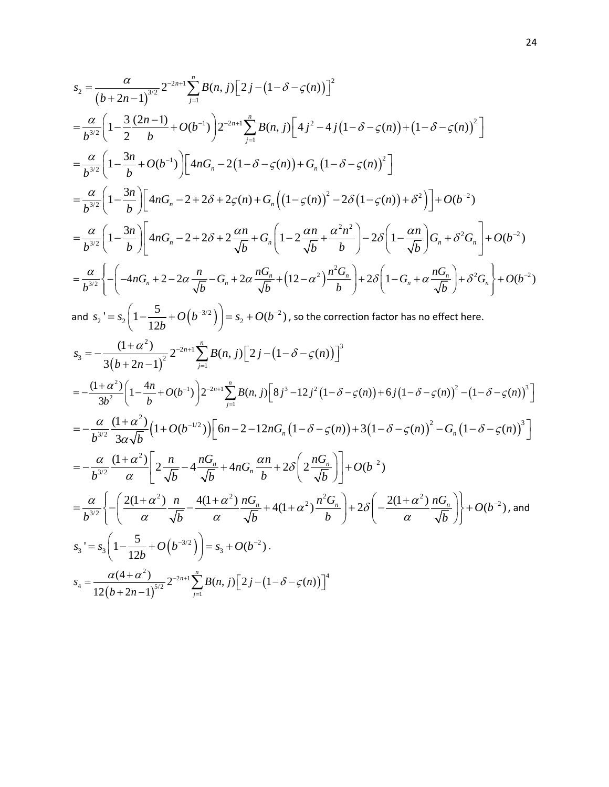$$
s_{2} = \frac{\alpha}{(b+2n-1)^{3/2}} 2^{-2n+1} \sum_{j=1}^{n} B(n, j) [2j - (1 - \delta - \varsigma(n))]^{2}
$$
  
\n
$$
= \frac{\alpha}{b^{3/2}} \bigg[ 1 - \frac{3}{2} \frac{(2n-1)}{b} + O(b^{-1}) \bigg] 2^{-2n+1} \sum_{j=1}^{n} B(n, j) [4j^{2} - 4j(1 - \delta - \varsigma(n)) + (1 - \delta - \varsigma(n))^{2}]
$$
  
\n
$$
= \frac{\alpha}{b^{3/2}} \bigg[ 1 - \frac{3n}{b} + O(b^{-1}) \bigg[ 4nG_{n} - 2(1 - \delta - \varsigma(n)) + G_{n}(1 - \delta - \varsigma(n))^{2} \bigg]
$$
  
\n
$$
= \frac{\alpha}{b^{3/2}} \bigg[ 1 - \frac{3n}{b} \bigg] \bigg[ 4nG_{n} - 2 + 2\delta + 2\varsigma(n) + G_{n} \bigg( (1 - \varsigma(n))^{2} - 2\delta (1 - \varsigma(n)) + \delta^{2} \bigg) \bigg] + O(b^{-2})
$$
  
\n
$$
= \frac{\alpha}{b^{3/2}} \bigg[ 1 - \frac{3n}{b} \bigg] \bigg[ 4nG_{n} - 2 + 2\delta + 2\frac{\alpha n}{\sqrt{b}} + G_{n} \bigg( 1 - 2\frac{\alpha n}{\sqrt{b}} + \frac{\alpha^{2}n^{2}}{b} \bigg) - 2\delta \bigg( 1 - \frac{\alpha n}{\sqrt{b}} \bigg) G_{n} + \delta^{2} G_{n} \bigg] + O(b^{-2})
$$
  
\n
$$
= \frac{\alpha}{b^{3/2}} \bigg\{ - \bigg( -4nG_{n} + 2 - 2\alpha \frac{n}{\sqrt{b}} - G_{n} + 2\alpha \frac{nG_{n}}{\sqrt{b}} + (12 - \alpha^{2}) \frac{n^{2}G_{n}}{b} \bigg) + 2\delta \bigg( 1 - G_{n} + \alpha \frac{nG_{n}}{\sqrt{b}} \bigg) + \delta^{2} G_{n} \bigg\} + O(b^{-2})
$$
  
\nand  $s_{2} := s_{2} \bigg[ 1 - \frac{5}{$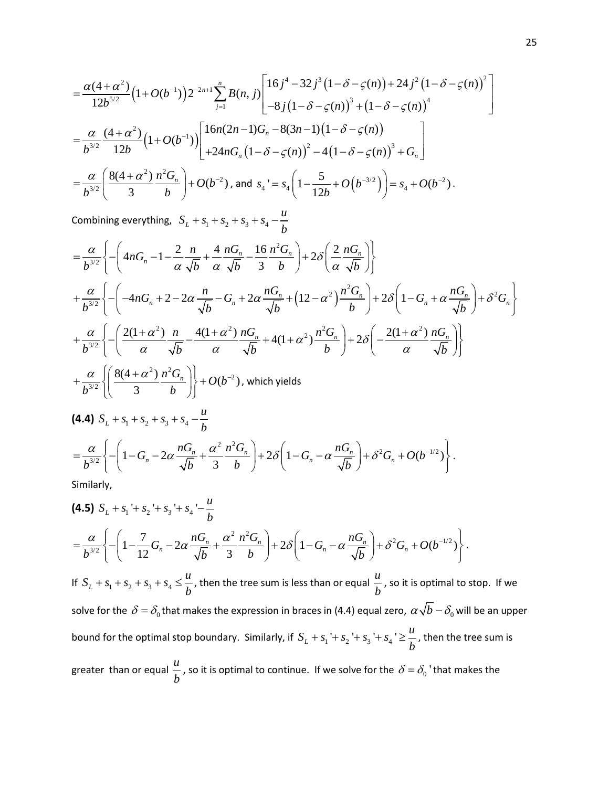$$
= \frac{\alpha(4+\alpha^2)}{12b^{5/2}} \Big(1+O(b^{-1})\Big) 2^{-2n+1} \sum_{j=1}^n B(n,j) \Bigg[ \frac{16j^4 - 32j^3(1-\delta-\varsigma(n)) + 24j^2(1-\delta-\varsigma(n))^2}{-8j(1-\delta-\varsigma(n))^3 + (1-\delta-\varsigma(n))^4} \Bigg]
$$
  
\n
$$
= \frac{\alpha}{b^{3/2}} \frac{(4+\alpha^2)}{12b} \Big(1+O(b^{-1})\Big) \Bigg[ \frac{16n(2n-1)G_n - 8(3n-1)(1-\delta-\varsigma(n))}{+24nG_n(1-\delta-\varsigma(n))^2 - 4(1-\delta-\varsigma(n))^3} + G_n \Bigg]
$$
  
\n
$$
= \frac{\alpha}{b^{3/2}} \Bigg( \frac{8(4+\alpha^2)}{3} \frac{n^2 G_n}{b} \Bigg) + O(b^{-2}), \text{ and } s_4 = s_4 \Big( 1 - \frac{5}{12b} + O(b^{-3/2}) \Big) = s_4 + O(b^{-2}).
$$

Combining everything,  $S_L + s_1 + s_2 + s_3 + s_4 - \frac{u}{b}$ *b*  $+S_1+S_2+S_3+S_4$  –

$$
\begin{split}\n&= \frac{\alpha}{b^{3/2}} \left\{ - \left( 4nG_n - 1 - \frac{2}{\alpha} \frac{n}{\sqrt{b}} + \frac{4}{\alpha} \frac{nG_n}{\sqrt{b}} - \frac{16}{3} \frac{n^2 G_n}{b} \right) + 2\delta \left( \frac{2}{\alpha} \frac{nG_n}{\sqrt{b}} \right) \right\} \\
&+ \frac{\alpha}{b^{3/2}} \left\{ - \left( -4nG_n + 2 - 2\alpha \frac{n}{\sqrt{b}} - G_n + 2\alpha \frac{nG_n}{\sqrt{b}} + (12 - \alpha^2) \frac{n^2 G_n}{b} \right) + 2\delta \left( 1 - G_n + \alpha \frac{nG_n}{\sqrt{b}} \right) + \delta^2 G_n \right\} \\
&+ \frac{\alpha}{b^{3/2}} \left\{ - \left( \frac{2(1+\alpha^2)}{\alpha} \frac{n}{\sqrt{b}} - \frac{4(1+\alpha^2)}{\alpha} \frac{nG_n}{\sqrt{b}} + 4(1+\alpha^2) \frac{n^2 G_n}{b} \right) + 2\delta \left( -\frac{2(1+\alpha^2)}{\alpha} \frac{nG_n}{\sqrt{b}} \right) \right\} \\
&+ \frac{\alpha}{b^{3/2}} \left\{ \left( \frac{8(4+\alpha^2)}{3} \frac{n^2 G_n}{b} \right) \right\} + O(b^{-2}), \text{ which yields} \\
\textbf{(4.4) } S_L + S_1 + S_2 + S_3 + S_4 - \frac{u}{b} \\
&= \frac{\alpha}{b^{3/2}} \left\{ - \left( 1 - G_n - 2\alpha \frac{nG_n}{\sqrt{b}} + \frac{\alpha^2}{3} \frac{n^2 G_n}{b} \right) + 2\delta \left( 1 - G_n - \alpha \frac{nG_n}{\sqrt{b}} \right) + \delta^2 G_n + O(b^{-1/2}) \right\}.\n\end{split}
$$

Similarly,

$$
\begin{split} & \textbf{(4.5)} \ \ S_L + s_1 + s_2 + s_3 + s_4 - \frac{u}{b} \\ &= \frac{\alpha}{b^{3/2}} \Bigg\{ - \Bigg( 1 - \frac{7}{12} G_n - 2\alpha \frac{n G_n}{\sqrt{b}} + \frac{\alpha^2}{3} \frac{n^2 G_n}{b} \Bigg) + 2\delta \Bigg( 1 - G_n - \alpha \frac{n G_n}{\sqrt{b}} \Bigg) + \delta^2 G_n + O(b^{-1/2}) \Bigg\} \,. \end{split}
$$

 $=\frac{a}{b^{3/2}}\left\{-\left(1-G_n-2\alpha\frac{nG_n}{\sqrt{b}}+\frac{\alpha}{3}\frac{nG_n}{b}\right)+2\delta\left(1-G_n-\alpha\frac{nG_n}{\sqrt{b}}\right)+\delta^2G_n+O(b^{-1/2})\right\}.$ 

 $b^{3/2}$  |  $b^{3/2}$  |  $b^{3/2}$  |  $c^{3/2}$  |  $d^{3/2}$  |  $b^{3/2}$  |  $d^{3/2}$  |  $d^{3/2}$  |  $d^{3/2}$  |  $d^{3/2}$  |  $d^{3/2}$  |  $d^{3/2}$  |  $d^{3/2}$  |  $d^{3/2}$  |  $d^{3/2}$  |  $d^{3/2}$  |  $d^{3/2}$  |  $d^{3/2}$  |  $d^{3/2}$  |  $d^{3/2}$  |

If  $S_L + s_1 + s_2 + s_3 + s_4 \leq \frac{u}{L}$ *b*  $+ s_1 + s_2 + s_3 + s_4 \leq \frac{u}{u}$ , then the tree sum is less than or equal  $\frac{u}{u}$ *b* , so it is optimal to stop. If we solve for the  $\delta = \delta_0$  that makes the expression in braces in (4.4) equal zero,  $\alpha\sqrt{b} - \delta_0$  will be an upper bound for the optimal stop boundary. Similarly, if  $S_L + s_1 + s_2 + s_3 + s_4$  ' $\geq \frac{u}{L}$ *b*  $+ s_1 + s_2 + s_3 + s_4$   $\geq \frac{a}{4}$ , then the tree sum is greater than or equal  $\frac{u}{u}$  $\frac{a}{b}$ , so it is optimal to continue. If we solve for the  $\delta = \delta_0$  'that makes the  $b$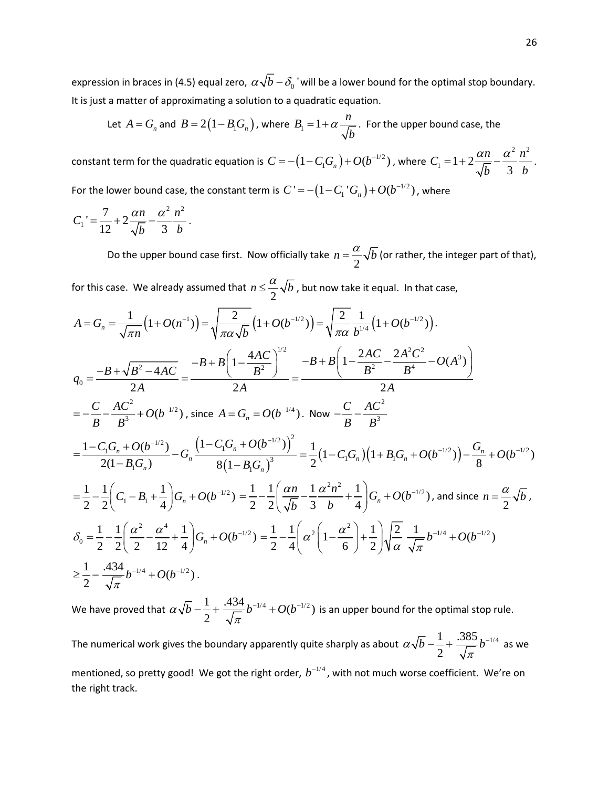expression in braces in (4.5) equal zero,  $\alpha \sqrt{b} - \delta_0$  'will be a lower bound for the optimal stop boundary. It is just a matter of approximating a solution to a quadratic equation.

Let 
$$
A = G_n
$$
 and  $B = 2(1 - B_1 G_n)$ , where  $B_1 = 1 + \alpha \frac{n}{\sqrt{b}}$ . For the upper bound case, the

constant term for the quadratic equation is  $C = -\left(1 - C_1 G_n\right) + O(b^{-1/2})$  , where  $C_1 = 1 + 2\frac{\alpha n}{\sqrt{1 - \alpha^2}}\frac{\alpha^2}{\alpha}$  $T_1 = 1 + 2 \frac{\alpha n}{\sqrt{b}} - \frac{\alpha}{3}$  $C_1 = 1 + 2 \frac{\alpha n}{\sqrt{n}} - \frac{\alpha^2}{2} \frac{n}{n}$ *b b*  $=1+2\frac{\alpha n}{\sqrt{2}}-\frac{\alpha^{2}n^{2}}{2}$ . For the lower bound case, the constant term is  $|C' \rangle = - \left( 1 - C^{-1}_{1} G_{n} \right) + O(b^{-1/2})$  , where

$$
C_1 = \frac{7}{12} + 2\frac{\alpha n}{\sqrt{b}} - \frac{\alpha^2}{3} \frac{n^2}{b}.
$$

Do the upper bound case first. Now officially take  $n = \frac{\alpha}{2} \sqrt{b}$  (or rather, the integer part of that),

for this case. We already assumed that  $n \leq \frac{\alpha}{2} \sqrt{b}$  , but now take it equal. In that case,

$$
A = G_n = \frac{1}{\sqrt{\pi n}} \left( 1 + O(n^{-1}) \right) = \sqrt{\frac{2}{\pi \alpha \sqrt{b}}} \left( 1 + O(b^{-1/2}) \right) = \sqrt{\frac{2}{\pi \alpha}} \frac{1}{b^{1/4}} \left( 1 + O(b^{-1/2}) \right).
$$
\n
$$
q_0 = \frac{-B + \sqrt{B^2 - 4AC}}{2A} = \frac{-B + B \left( 1 - \frac{4AC}{B^2} \right)^{1/2}}{2A} = \frac{-B + B \left( 1 - \frac{2AC}{B^2} - \frac{2A^2C^2}{B^4} - O(A^3) \right)}{2A}
$$
\n
$$
= -\frac{C}{B} - \frac{AC^2}{B^3} + O(b^{-1/2}), \text{ since } A = G_n = O(b^{-1/4}). \text{ Now } -\frac{C}{B} - \frac{AC^2}{B^3}
$$
\n
$$
= \frac{1 - C_1 G_n + O(b^{-1/2})}{2(1 - B_1 G_n)} - G_n \frac{\left( 1 - C_1 G_n + O(b^{-1/2}) \right)^2}{8 \left( 1 - B_1 G_n \right)^3} = \frac{1}{2} \left( 1 - C_1 G_n \right) \left( 1 + B_1 G_n + O(b^{-1/2}) \right) - \frac{G_n}{8} + O(b^{-1/2})
$$
\n
$$
= \frac{1}{2} - \frac{1}{2} \left( C_1 - B_1 + \frac{1}{4} \right) G_n + O(b^{-1/2}) = \frac{1}{2} - \frac{1}{2} \left( \frac{\alpha n}{\sqrt{b}} - \frac{1}{3} \frac{\alpha^2 n^2}{b} + \frac{1}{4} \right) G_n + O(b^{-1/2}), \text{ and since } n = \frac{\alpha}{2} \sqrt{b},
$$
\n
$$
\delta_0 = \frac{1}{2} - \frac{1}{2} \left( \frac{\alpha^2}{2} - \frac{\alpha^4}{12} + \frac{1}{4} \right) G_n + O(b^{-1/2}) = \frac{1}{2} - \frac{1}{4} \left( \alpha^2 \left( 1 - \frac{\alpha^2}{6} \right) + \frac{1}{2} \right) \sqrt{\frac{2}{\alpha}} \frac{1}{\sqrt{\pi}} b^{-1/4} + O(b^{-1/2})
$$
\

We have proved that  $\alpha\sqrt{b} - \frac{1}{2} + \frac{.434}{\sqrt{\pi}}b^{-1/4} + O(b^{-1/2})$  is an upper bound for the optimal stop rule.

The numerical work gives the boundary apparently quite sharply as about  $\alpha\sqrt{b} - \frac{1}{5} + \frac{.385}{\sqrt{5}}b^{-1/4}$ 2  $\alpha\sqrt{b} - \frac{1}{2} + \frac{365}{\sqrt{\pi}}b$  $-\frac{1}{2} + \frac{.565}{\sqrt{2}} b^{-1/4}$  as we

mentioned, so pretty good! We got the right order,  $b^{-1/4}$ , with not much worse coefficient. We're on the right track.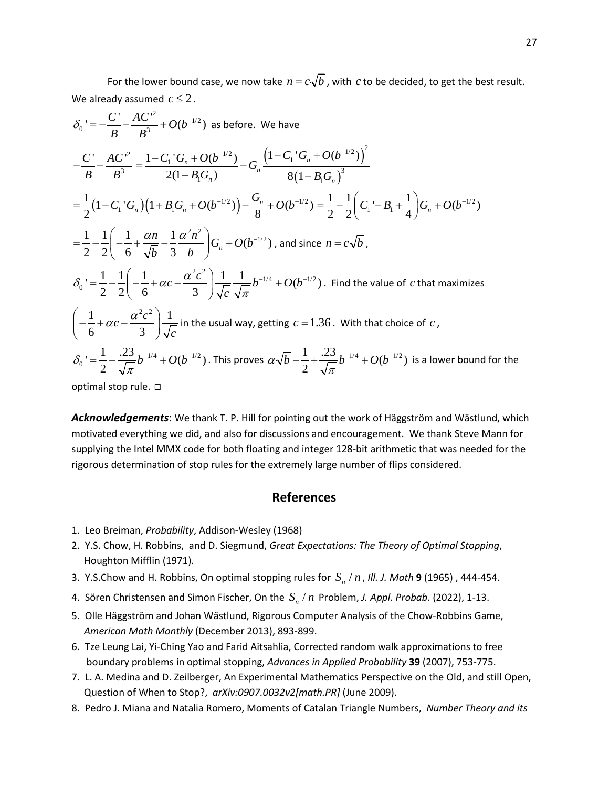For the lower bound case, we now take  $n = c\sqrt{b}$ , with *c* to be decided, to get the best result. We already assumed  $c \leq 2$ .

$$
\delta_0 = -\frac{C'}{B} - \frac{AC'^2}{B^3} + O(b^{-1/2}) \text{ as before. We have}
$$
  
\n
$$
-\frac{C'}{B} - \frac{AC'^2}{B^3} = \frac{1 - C_1'G_n + O(b^{-1/2})}{2(1 - B_1G_n)} - G_n \frac{(1 - C_1'G_n + O(b^{-1/2}))^2}{8(1 - B_1G_n)^3}
$$
  
\n
$$
= \frac{1}{2}(1 - C_1'G_n)(1 + B_1G_n + O(b^{-1/2})) - \frac{G_n}{8} + O(b^{-1/2}) = \frac{1}{2} - \frac{1}{2}(C_1' - B_1 + \frac{1}{4})G_n + O(b^{-1/2})
$$
  
\n
$$
= \frac{1}{2} - \frac{1}{2}\left(-\frac{1}{6} + \frac{\alpha n}{\sqrt{b}} - \frac{1}{3}\frac{\alpha^2 n^2}{b}\right)G_n + O(b^{-1/2}), \text{ and since } n = c\sqrt{b},
$$
  
\n
$$
\delta_0 = \frac{1}{2} - \frac{1}{2}\left(-\frac{1}{6} + \alpha c - \frac{\alpha^2 c^2}{3}\right) \frac{1}{\sqrt{c}} - \frac{1}{\sqrt{\pi}}b^{-1/4} + O(b^{-1/2}). \text{ Find the value of } c \text{ that maximizes}
$$
  
\n
$$
\left(-\frac{1}{6} + \alpha c - \frac{\alpha^2 c^2}{3}\right) \frac{1}{\sqrt{c}} \text{ in the usual way, getting } c = 1.36. \text{ With that choice of } c,
$$
  
\n
$$
\delta_0 = \frac{1}{2} - \frac{.23}{\sqrt{\pi}}b^{-1/4} + O(b^{-1/2}). \text{ This proves } \alpha\sqrt{b} - \frac{1}{2} + \frac{.23}{\sqrt{\pi}}b^{-1/4} + O(b^{-1/2}) \text{ is a lower bound for the optimal stop rule. } \square
$$

*Acknowledgements*: We thank T. P. Hill for pointing out the work of Häggström and Wästlund, which motivated everything we did, and also for discussions and encouragement. We thank Steve Mann for supplying the Intel MMX code for both floating and integer 128-bit arithmetic that was needed for the rigorous determination of stop rules for the extremely large number of flips considered.

### **References**

- 1. Leo Breiman, *Probability*, Addison-Wesley (1968)
- 2. Y.S. Chow, H. Robbins, and D. Siegmund, *Great Expectations: The Theory of Optimal Stopping*, Houghton Mifflin (1971).
- 3. Y.S.Chow and H. Robbins, On optimal stopping rules for  $S_n / n$ , *III. J. Math* 9 (1965), 444-454.
- 4. Sören Christensen and Simon Fischer, On the  $S_n/n$  Problem, *J. Appl. Probab.* (2022), 1-13.
- 5. Olle Häggström and Johan Wästlund, Rigorous Computer Analysis of the Chow-Robbins Game, *American Math Monthly* (December 2013), 893-899.
- 6. Tze Leung Lai, Yi-Ching Yao and Farid Aitsahlia, Corrected random walk approximations to free boundary problems in optimal stopping, *Advances in Applied Probability* **39** (2007), 753-775.
- 7. L. A. Medina and D. Zeilberger, An Experimental Mathematics Perspective on the Old, and still Open, Question of When to Stop?, *arXiv:0907.0032v2[math.PR]* (June 2009).
- 8. Pedro J. Miana and Natalia Romero, Moments of Catalan Triangle Numbers, *Number Theory and its*